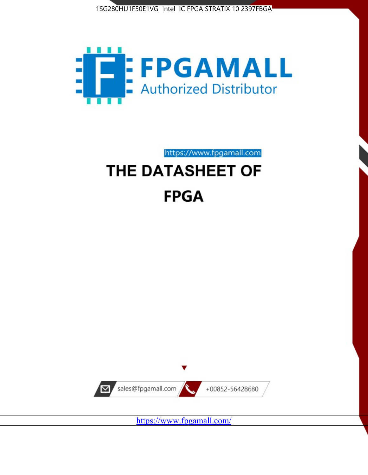



https://www.fpgamall.com

# THE DATASHEET OF **FPGA**



<https://www.fpgamall.com/>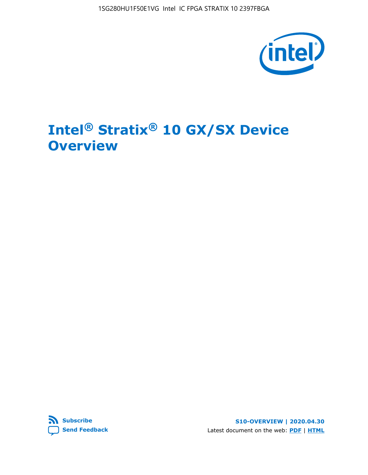

# **Intel® Stratix® 10 GX/SX Device Overview**



**S10-OVERVIEW | 2020.04.30** Latest document on the web: **[PDF](https://www.intel.com/content/dam/www/programmable/us/en/pdfs/literature/hb/stratix-10/s10-overview.pdf)** | **[HTML](https://www.intel.com/content/www/us/en/programmable/documentation/joc1442261161666.html)**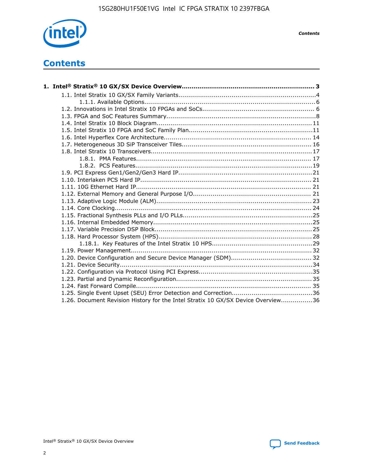

*Contents*

# **Contents**

| 1.26. Document Revision History for the Intel Stratix 10 GX/SX Device Overview36 |  |
|----------------------------------------------------------------------------------|--|

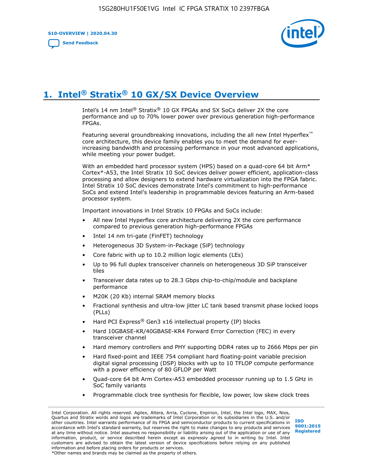**S10-OVERVIEW | 2020.04.30**

**[Send Feedback](mailto:FPGAtechdocfeedback@intel.com?subject=Feedback%20on%20Intel%20Stratix%2010%20GX/SX%20Device%20Overview%20(S10-OVERVIEW%202020.04.30)&body=We%20appreciate%20your%20feedback.%20In%20your%20comments,%20also%20specify%20the%20page%20number%20or%20paragraph.%20Thank%20you.)**



# **1. Intel® Stratix® 10 GX/SX Device Overview**

Intel's 14 nm Intel® Stratix® 10 GX FPGAs and SX SoCs deliver 2X the core performance and up to 70% lower power over previous generation high-performance FPGAs.

Featuring several groundbreaking innovations, including the all new Intel Hyperflex™ core architecture, this device family enables you to meet the demand for everincreasing bandwidth and processing performance in your most advanced applications, while meeting your power budget.

With an embedded hard processor system (HPS) based on a quad-core 64 bit Arm\* Cortex\*-A53, the Intel Stratix 10 SoC devices deliver power efficient, application-class processing and allow designers to extend hardware virtualization into the FPGA fabric. Intel Stratix 10 SoC devices demonstrate Intel's commitment to high-performance SoCs and extend Intel's leadership in programmable devices featuring an Arm-based processor system.

Important innovations in Intel Stratix 10 FPGAs and SoCs include:

- All new Intel Hyperflex core architecture delivering 2X the core performance compared to previous generation high-performance FPGAs
- Intel 14 nm tri-gate (FinFET) technology
- Heterogeneous 3D System-in-Package (SiP) technology
- Core fabric with up to 10.2 million logic elements (LEs)
- Up to 96 full duplex transceiver channels on heterogeneous 3D SiP transceiver tiles
- Transceiver data rates up to 28.3 Gbps chip-to-chip/module and backplane performance
- M20K (20 Kb) internal SRAM memory blocks
- Fractional synthesis and ultra-low jitter LC tank based transmit phase locked loops (PLLs)
- Hard PCI Express<sup>®</sup> Gen3 x16 intellectual property (IP) blocks
- Hard 10GBASE-KR/40GBASE-KR4 Forward Error Correction (FEC) in every transceiver channel
- Hard memory controllers and PHY supporting DDR4 rates up to 2666 Mbps per pin
- Hard fixed-point and IEEE 754 compliant hard floating-point variable precision digital signal processing (DSP) blocks with up to 10 TFLOP compute performance with a power efficiency of 80 GFLOP per Watt
- Quad-core 64 bit Arm Cortex-A53 embedded processor running up to 1.5 GHz in SoC family variants
- Programmable clock tree synthesis for flexible, low power, low skew clock trees

Intel Corporation. All rights reserved. Agilex, Altera, Arria, Cyclone, Enpirion, Intel, the Intel logo, MAX, Nios, Quartus and Stratix words and logos are trademarks of Intel Corporation or its subsidiaries in the U.S. and/or other countries. Intel warrants performance of its FPGA and semiconductor products to current specifications in accordance with Intel's standard warranty, but reserves the right to make changes to any products and services at any time without notice. Intel assumes no responsibility or liability arising out of the application or use of any information, product, or service described herein except as expressly agreed to in writing by Intel. Intel customers are advised to obtain the latest version of device specifications before relying on any published information and before placing orders for products or services. \*Other names and brands may be claimed as the property of others.

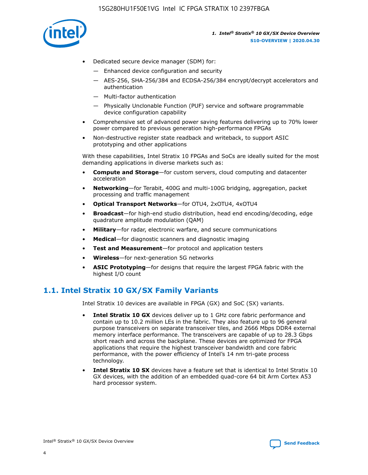

- Dedicated secure device manager (SDM) for:
	- Enhanced device configuration and security
	- AES-256, SHA-256/384 and ECDSA-256/384 encrypt/decrypt accelerators and authentication
	- Multi-factor authentication
	- Physically Unclonable Function (PUF) service and software programmable device configuration capability
- Comprehensive set of advanced power saving features delivering up to 70% lower power compared to previous generation high-performance FPGAs
- Non-destructive register state readback and writeback, to support ASIC prototyping and other applications

With these capabilities, Intel Stratix 10 FPGAs and SoCs are ideally suited for the most demanding applications in diverse markets such as:

- **Compute and Storage**—for custom servers, cloud computing and datacenter acceleration
- **Networking**—for Terabit, 400G and multi-100G bridging, aggregation, packet processing and traffic management
- **Optical Transport Networks**—for OTU4, 2xOTU4, 4xOTU4
- **Broadcast**—for high-end studio distribution, head end encoding/decoding, edge quadrature amplitude modulation (QAM)
- **Military**—for radar, electronic warfare, and secure communications
- **Medical**—for diagnostic scanners and diagnostic imaging
- **Test and Measurement**—for protocol and application testers
- **Wireless**—for next-generation 5G networks
- **ASIC Prototyping**—for designs that require the largest FPGA fabric with the highest I/O count

# **1.1. Intel Stratix 10 GX/SX Family Variants**

Intel Stratix 10 devices are available in FPGA (GX) and SoC (SX) variants.

- **Intel Stratix 10 GX** devices deliver up to 1 GHz core fabric performance and contain up to 10.2 million LEs in the fabric. They also feature up to 96 general purpose transceivers on separate transceiver tiles, and 2666 Mbps DDR4 external memory interface performance. The transceivers are capable of up to 28.3 Gbps short reach and across the backplane. These devices are optimized for FPGA applications that require the highest transceiver bandwidth and core fabric performance, with the power efficiency of Intel's 14 nm tri-gate process technology.
- **Intel Stratix 10 SX** devices have a feature set that is identical to Intel Stratix 10 GX devices, with the addition of an embedded quad-core 64 bit Arm Cortex A53 hard processor system.

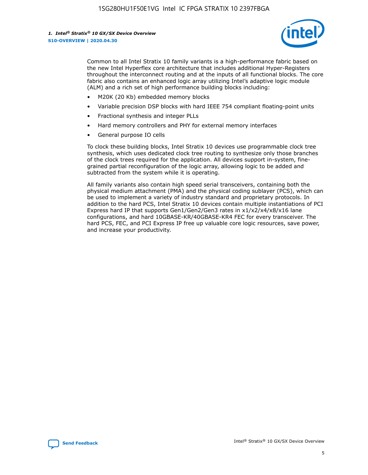

Common to all Intel Stratix 10 family variants is a high-performance fabric based on the new Intel Hyperflex core architecture that includes additional Hyper-Registers throughout the interconnect routing and at the inputs of all functional blocks. The core fabric also contains an enhanced logic array utilizing Intel's adaptive logic module (ALM) and a rich set of high performance building blocks including:

- M20K (20 Kb) embedded memory blocks
- Variable precision DSP blocks with hard IEEE 754 compliant floating-point units
- Fractional synthesis and integer PLLs
- Hard memory controllers and PHY for external memory interfaces
- General purpose IO cells

To clock these building blocks, Intel Stratix 10 devices use programmable clock tree synthesis, which uses dedicated clock tree routing to synthesize only those branches of the clock trees required for the application. All devices support in-system, finegrained partial reconfiguration of the logic array, allowing logic to be added and subtracted from the system while it is operating.

All family variants also contain high speed serial transceivers, containing both the physical medium attachment (PMA) and the physical coding sublayer (PCS), which can be used to implement a variety of industry standard and proprietary protocols. In addition to the hard PCS, Intel Stratix 10 devices contain multiple instantiations of PCI Express hard IP that supports Gen1/Gen2/Gen3 rates in x1/x2/x4/x8/x16 lane configurations, and hard 10GBASE-KR/40GBASE-KR4 FEC for every transceiver. The hard PCS, FEC, and PCI Express IP free up valuable core logic resources, save power, and increase your productivity.

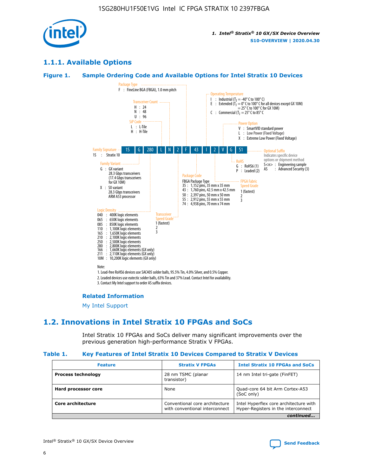

# **1.1.1. Available Options**

#### **Figure 1. Sample Ordering Code and Available Options for Intel Stratix 10 Devices**



# **Related Information**

[My Intel Support](https://www.intel.com/content/www/us/en/programmable/my-intel/mal-home.html)

# **1.2. Innovations in Intel Stratix 10 FPGAs and SoCs**

Intel Stratix 10 FPGAs and SoCs deliver many significant improvements over the previous generation high-performance Stratix V FPGAs.

#### **Table 1. Key Features of Intel Stratix 10 Devices Compared to Stratix V Devices**

| <b>Feature</b>            | <b>Stratix V FPGAs</b>                                             | <b>Intel Stratix 10 FPGAs and SoCs</b>                                        |
|---------------------------|--------------------------------------------------------------------|-------------------------------------------------------------------------------|
| <b>Process technology</b> | 28 nm TSMC (planar<br>14 nm Intel tri-gate (FinFET)<br>transistor) |                                                                               |
| Hard processor core       | None                                                               | Quad-core 64 bit Arm Cortex-A53<br>(SoC only)                                 |
| Core architecture         | Conventional core architecture<br>with conventional interconnect   | Intel Hyperflex core architecture with<br>Hyper-Registers in the interconnect |
|                           |                                                                    | continued                                                                     |

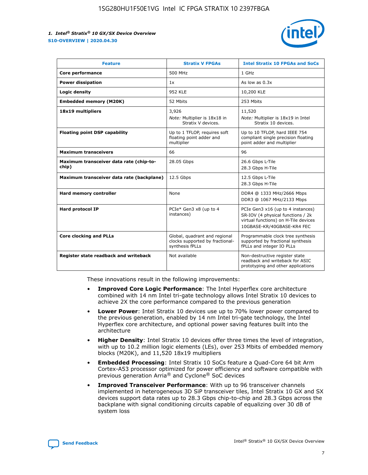

| <b>Feature</b>                                   | <b>Stratix V FPGAs</b>                                                              | <b>Intel Stratix 10 FPGAs and SoCs</b>                                                                                                       |
|--------------------------------------------------|-------------------------------------------------------------------------------------|----------------------------------------------------------------------------------------------------------------------------------------------|
| Core performance                                 | 500 MHz                                                                             | 1 GHz                                                                                                                                        |
| <b>Power dissipation</b>                         | 1x                                                                                  | As low as $0.3x$                                                                                                                             |
| Logic density                                    | 952 KLE                                                                             | 10,200 KLE                                                                                                                                   |
| <b>Embedded memory (M20K)</b>                    | 52 Mbits                                                                            | 253 Mbits                                                                                                                                    |
| 18x19 multipliers                                | 3,926                                                                               | 11,520                                                                                                                                       |
|                                                  | Note: Multiplier is 18x18 in<br>Stratix V devices.                                  | Note: Multiplier is 18x19 in Intel<br>Stratix 10 devices.                                                                                    |
| <b>Floating point DSP capability</b>             | Up to 1 TFLOP, requires soft<br>floating point adder and<br>multiplier              | Up to 10 TFLOP, hard IEEE 754<br>compliant single precision floating<br>point adder and multiplier                                           |
| <b>Maximum transceivers</b>                      | 66                                                                                  | 96                                                                                                                                           |
| Maximum transceiver data rate (chip-to-<br>chip) | 28.05 Gbps                                                                          | 26.6 Gbps L-Tile<br>28.3 Gbps H-Tile                                                                                                         |
| Maximum transceiver data rate (backplane)        | 12.5 Gbps                                                                           | 12.5 Gbps L-Tile<br>28.3 Gbps H-Tile                                                                                                         |
| Hard memory controller                           | None                                                                                | DDR4 @ 1333 MHz/2666 Mbps<br>DDR3 @ 1067 MHz/2133 Mbps                                                                                       |
| <b>Hard protocol IP</b>                          | PCIe* Gen3 x8 (up to 4<br>instances)                                                | PCIe Gen3 x16 (up to 4 instances)<br>SR-IOV (4 physical functions / 2k<br>virtual functions) on H-Tile devices<br>10GBASE-KR/40GBASE-KR4 FEC |
| <b>Core clocking and PLLs</b>                    | Global, quadrant and regional<br>clocks supported by fractional-<br>synthesis fPLLs | Programmable clock tree synthesis<br>supported by fractional synthesis<br>fPLLs and integer IO PLLs                                          |
| Register state readback and writeback            | Not available                                                                       | Non-destructive register state<br>readback and writeback for ASIC<br>prototyping and other applications                                      |

These innovations result in the following improvements:

- **Improved Core Logic Performance**: The Intel Hyperflex core architecture combined with 14 nm Intel tri-gate technology allows Intel Stratix 10 devices to achieve 2X the core performance compared to the previous generation
- **Lower Power**: Intel Stratix 10 devices use up to 70% lower power compared to the previous generation, enabled by 14 nm Intel tri-gate technology, the Intel Hyperflex core architecture, and optional power saving features built into the architecture
- **Higher Density**: Intel Stratix 10 devices offer three times the level of integration, with up to 10.2 million logic elements (LEs), over 253 Mbits of embedded memory blocks (M20K), and 11,520 18x19 multipliers
- **Embedded Processing**: Intel Stratix 10 SoCs feature a Quad-Core 64 bit Arm Cortex-A53 processor optimized for power efficiency and software compatible with previous generation Arria® and Cyclone® SoC devices
- **Improved Transceiver Performance**: With up to 96 transceiver channels implemented in heterogeneous 3D SiP transceiver tiles, Intel Stratix 10 GX and SX devices support data rates up to 28.3 Gbps chip-to-chip and 28.3 Gbps across the backplane with signal conditioning circuits capable of equalizing over 30 dB of system loss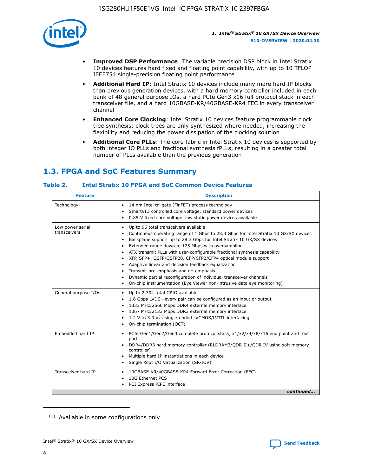

- **Improved DSP Performance**: The variable precision DSP block in Intel Stratix 10 devices features hard fixed and floating point capability, with up to 10 TFLOP IEEE754 single-precision floating point performance
- **Additional Hard IP**: Intel Stratix 10 devices include many more hard IP blocks than previous generation devices, with a hard memory controller included in each bank of 48 general purpose IOs, a hard PCIe Gen3 x16 full protocol stack in each transceiver tile, and a hard 10GBASE-KR/40GBASE-KR4 FEC in every transceiver channel
- **Enhanced Core Clocking**: Intel Stratix 10 devices feature programmable clock tree synthesis; clock trees are only synthesized where needed, increasing the flexibility and reducing the power dissipation of the clocking solution
- **Additional Core PLLs**: The core fabric in Intel Stratix 10 devices is supported by both integer IO PLLs and fractional synthesis fPLLs, resulting in a greater total number of PLLs available than the previous generation

# **1.3. FPGA and SoC Features Summary**

#### **Table 2. Intel Stratix 10 FPGA and SoC Common Device Features**

| Technology<br>14 nm Intel tri-gate (FinFET) process technology<br>٠<br>SmartVID controlled core voltage, standard power devices<br>0.85-V fixed core voltage, low static power devices available<br>Up to 96 total transceivers available<br>Low power serial<br>٠<br>transceivers<br>Continuous operating range of 1 Gbps to 28.3 Gbps for Intel Stratix 10 GX/SX devices<br>Backplane support up to 28.3 Gbps for Intel Stratix 10 GX/SX devices<br>$\bullet$<br>Extended range down to 125 Mbps with oversampling<br>$\bullet$<br>• ATX transmit PLLs with user-configurable fractional synthesis capability<br>XFP, SFP+, QSFP/QSFP28, CFP/CFP2/CFP4 optical module support<br>• Adaptive linear and decision feedback equalization<br>Transmit pre-emphasis and de-emphasis<br>Dynamic partial reconfiguration of individual transceiver channels<br>$\bullet$<br>On-chip instrumentation (Eye Viewer non-intrusive data eye monitoring)<br>General purpose I/Os<br>Up to 2,304 total GPIO available<br>$\bullet$<br>1.6 Gbps LVDS-every pair can be configured as an input or output<br>1333 MHz/2666 Mbps DDR4 external memory interface<br>1067 MHz/2133 Mbps DDR3 external memory interface<br>• 1.2 V to 3.3 $V^{(1)}$ single-ended LVCMOS/LVTTL interfacing<br>• On-chip termination (OCT)<br>Embedded hard IP<br>PCIe Gen1/Gen2/Gen3 complete protocol stack, x1/x2/x4/x8/x16 end point and root<br>$\bullet$<br>port<br>DDR4/DDR3 hard memory controller (RLDRAM3/QDR II+/QDR IV using soft memory<br>controller)<br>Multiple hard IP instantiations in each device<br>• Single Root I/O Virtualization (SR-IOV)<br>Transceiver hard IP<br>10GBASE-KR/40GBASE-KR4 Forward Error Correction (FEC)<br>$\bullet$<br>10G Ethernet PCS<br>$\bullet$ | <b>Feature</b> | <b>Description</b> |
|-------------------------------------------------------------------------------------------------------------------------------------------------------------------------------------------------------------------------------------------------------------------------------------------------------------------------------------------------------------------------------------------------------------------------------------------------------------------------------------------------------------------------------------------------------------------------------------------------------------------------------------------------------------------------------------------------------------------------------------------------------------------------------------------------------------------------------------------------------------------------------------------------------------------------------------------------------------------------------------------------------------------------------------------------------------------------------------------------------------------------------------------------------------------------------------------------------------------------------------------------------------------------------------------------------------------------------------------------------------------------------------------------------------------------------------------------------------------------------------------------------------------------------------------------------------------------------------------------------------------------------------------------------------------------------------------------------------------------------------------------------------|----------------|--------------------|
|                                                                                                                                                                                                                                                                                                                                                                                                                                                                                                                                                                                                                                                                                                                                                                                                                                                                                                                                                                                                                                                                                                                                                                                                                                                                                                                                                                                                                                                                                                                                                                                                                                                                                                                                                             |                |                    |
|                                                                                                                                                                                                                                                                                                                                                                                                                                                                                                                                                                                                                                                                                                                                                                                                                                                                                                                                                                                                                                                                                                                                                                                                                                                                                                                                                                                                                                                                                                                                                                                                                                                                                                                                                             |                |                    |
|                                                                                                                                                                                                                                                                                                                                                                                                                                                                                                                                                                                                                                                                                                                                                                                                                                                                                                                                                                                                                                                                                                                                                                                                                                                                                                                                                                                                                                                                                                                                                                                                                                                                                                                                                             |                |                    |
|                                                                                                                                                                                                                                                                                                                                                                                                                                                                                                                                                                                                                                                                                                                                                                                                                                                                                                                                                                                                                                                                                                                                                                                                                                                                                                                                                                                                                                                                                                                                                                                                                                                                                                                                                             |                |                    |
| PCI Express PIPE interface<br>continued                                                                                                                                                                                                                                                                                                                                                                                                                                                                                                                                                                                                                                                                                                                                                                                                                                                                                                                                                                                                                                                                                                                                                                                                                                                                                                                                                                                                                                                                                                                                                                                                                                                                                                                     |                |                    |

<sup>(1)</sup> Available in some configurations only

8

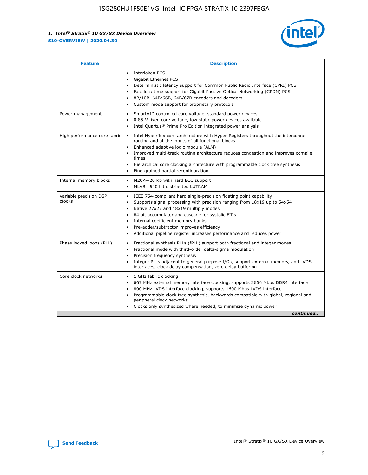

| <b>Feature</b>                   | <b>Description</b>                                                                                                                                                                                                                                                                                                                                                                                                                                                    |  |  |  |
|----------------------------------|-----------------------------------------------------------------------------------------------------------------------------------------------------------------------------------------------------------------------------------------------------------------------------------------------------------------------------------------------------------------------------------------------------------------------------------------------------------------------|--|--|--|
|                                  | Interlaken PCS<br>$\bullet$<br>Gigabit Ethernet PCS<br>$\bullet$<br>Deterministic latency support for Common Public Radio Interface (CPRI) PCS<br>$\bullet$<br>Fast lock-time support for Gigabit Passive Optical Networking (GPON) PCS<br>$\bullet$<br>8B/10B, 64B/66B, 64B/67B encoders and decoders<br>Custom mode support for proprietary protocols                                                                                                               |  |  |  |
| Power management                 | SmartVID controlled core voltage, standard power devices<br>$\bullet$<br>0.85-V fixed core voltage, low static power devices available<br>$\bullet$<br>Intel Quartus <sup>®</sup> Prime Pro Edition integrated power analysis<br>$\bullet$                                                                                                                                                                                                                            |  |  |  |
| High performance core fabric     | Intel Hyperflex core architecture with Hyper-Registers throughout the interconnect<br>routing and at the inputs of all functional blocks<br>Enhanced adaptive logic module (ALM)<br>$\bullet$<br>Improved multi-track routing architecture reduces congestion and improves compile<br>times<br>Hierarchical core clocking architecture with programmable clock tree synthesis<br>$\bullet$<br>Fine-grained partial reconfiguration                                    |  |  |  |
| Internal memory blocks           | M20K-20 Kb with hard ECC support<br>$\bullet$<br>MLAB-640 bit distributed LUTRAM<br>$\bullet$                                                                                                                                                                                                                                                                                                                                                                         |  |  |  |
| Variable precision DSP<br>blocks | IEEE 754-compliant hard single-precision floating point capability<br>$\bullet$<br>Supports signal processing with precision ranging from 18x19 up to 54x54<br>$\bullet$<br>Native 27x27 and 18x19 multiply modes<br>$\bullet$<br>64 bit accumulator and cascade for systolic FIRs<br>Internal coefficient memory banks<br>Pre-adder/subtractor improves efficiency<br>$\bullet$<br>Additional pipeline register increases performance and reduces power<br>$\bullet$ |  |  |  |
| Phase locked loops (PLL)         | Fractional synthesis PLLs (fPLL) support both fractional and integer modes<br>$\bullet$<br>Fractional mode with third-order delta-sigma modulation<br>Precision frequency synthesis<br>$\bullet$<br>Integer PLLs adjacent to general purpose I/Os, support external memory, and LVDS<br>$\bullet$<br>interfaces, clock delay compensation, zero delay buffering                                                                                                       |  |  |  |
| Core clock networks              | 1 GHz fabric clocking<br>$\bullet$<br>667 MHz external memory interface clocking, supports 2666 Mbps DDR4 interface<br>٠<br>800 MHz LVDS interface clocking, supports 1600 Mbps LVDS interface<br>$\bullet$<br>Programmable clock tree synthesis, backwards compatible with global, regional and<br>$\bullet$<br>peripheral clock networks<br>Clocks only synthesized where needed, to minimize dynamic power<br>continued                                            |  |  |  |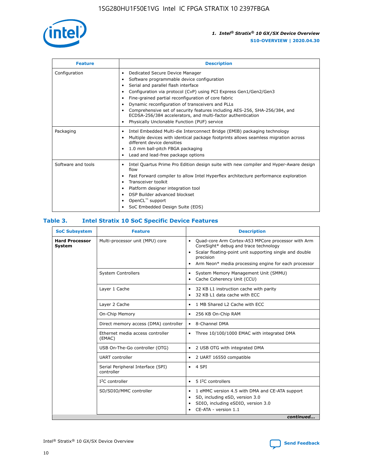

| <b>Feature</b>     | <b>Description</b>                                                                                                                                                                                                                                                                                                                                                                                                                                                                                                                                                   |
|--------------------|----------------------------------------------------------------------------------------------------------------------------------------------------------------------------------------------------------------------------------------------------------------------------------------------------------------------------------------------------------------------------------------------------------------------------------------------------------------------------------------------------------------------------------------------------------------------|
| Configuration      | Dedicated Secure Device Manager<br>$\bullet$<br>Software programmable device configuration<br>٠<br>Serial and parallel flash interface<br>٠<br>Configuration via protocol (CvP) using PCI Express Gen1/Gen2/Gen3<br>٠<br>Fine-grained partial reconfiguration of core fabric<br>$\bullet$<br>Dynamic reconfiguration of transceivers and PLLs<br>$\bullet$<br>Comprehensive set of security features including AES-256, SHA-256/384, and<br>ECDSA-256/384 accelerators, and multi-factor authentication<br>Physically Unclonable Function (PUF) service<br>$\bullet$ |
| Packaging          | Intel Embedded Multi-die Interconnect Bridge (EMIB) packaging technology<br>٠<br>Multiple devices with identical package footprints allows seamless migration across<br>$\bullet$<br>different device densities<br>1.0 mm ball-pitch FBGA packaging<br>$\bullet$<br>Lead and lead-free package options                                                                                                                                                                                                                                                               |
| Software and tools | Intel Quartus Prime Pro Edition design suite with new compiler and Hyper-Aware design<br>flow<br>Fast Forward compiler to allow Intel Hyperflex architecture performance exploration<br>$\bullet$<br>Transceiver toolkit<br>$\bullet$<br>Platform designer integration tool<br>DSP Builder advanced blockset<br>OpenCL <sup>™</sup> support<br>SoC Embedded Design Suite (EDS)                                                                                                                                                                                       |

#### **Table 3. Intel Stratix 10 SoC Specific Device Features**

| <b>Hard Processor</b><br>Multi-processor unit (MPU) core<br>Quad-core Arm Cortex-A53 MPCore processor with Arm<br>$\bullet$<br>CoreSight* debug and trace technology<br>System<br>Scalar floating-point unit supporting single and double<br>$\bullet$<br>precision<br>Arm Neon* media processing engine for each processor<br>$\bullet$<br><b>System Controllers</b><br>System Memory Management Unit (SMMU)<br>$\bullet$<br>Cache Coherency Unit (CCU)<br>$\bullet$<br>Layer 1 Cache<br>32 KB L1 instruction cache with parity<br>$\bullet$<br>32 KB L1 data cache with ECC<br>$\bullet$<br>Layer 2 Cache<br>1 MB Shared L2 Cache with ECC<br>$\bullet$<br>On-Chip Memory<br>256 KB On-Chip RAM<br>٠<br>8-Channel DMA<br>Direct memory access (DMA) controller<br>$\bullet$<br>Ethernet media access controller<br>Three 10/100/1000 EMAC with integrated DMA<br>$\bullet$<br>(EMAC)<br>USB On-The-Go controller (OTG)<br>2 USB OTG with integrated DMA<br>$\bullet$<br><b>UART</b> controller<br>2 UART 16550 compatible<br>$\bullet$<br>Serial Peripheral Interface (SPI)<br>4 SPI<br>$\bullet$<br>controller<br>$I2C$ controller<br>5 I <sup>2</sup> C controllers<br>$\bullet$<br>SD/SDIO/MMC controller<br>1 eMMC version 4.5 with DMA and CE-ATA support<br>$\bullet$<br>SD, including eSD, version 3.0<br>$\bullet$<br>SDIO, including eSDIO, version 3.0<br>$\bullet$<br>CE-ATA - version 1.1 | <b>SoC Subsystem</b> | <b>Feature</b> | <b>Description</b> |  |  |
|---------------------------------------------------------------------------------------------------------------------------------------------------------------------------------------------------------------------------------------------------------------------------------------------------------------------------------------------------------------------------------------------------------------------------------------------------------------------------------------------------------------------------------------------------------------------------------------------------------------------------------------------------------------------------------------------------------------------------------------------------------------------------------------------------------------------------------------------------------------------------------------------------------------------------------------------------------------------------------------------------------------------------------------------------------------------------------------------------------------------------------------------------------------------------------------------------------------------------------------------------------------------------------------------------------------------------------------------------------------------------------------------------------|----------------------|----------------|--------------------|--|--|
|                                                                                                                                                                                                                                                                                                                                                                                                                                                                                                                                                                                                                                                                                                                                                                                                                                                                                                                                                                                                                                                                                                                                                                                                                                                                                                                                                                                                         |                      |                |                    |  |  |
|                                                                                                                                                                                                                                                                                                                                                                                                                                                                                                                                                                                                                                                                                                                                                                                                                                                                                                                                                                                                                                                                                                                                                                                                                                                                                                                                                                                                         |                      |                |                    |  |  |
|                                                                                                                                                                                                                                                                                                                                                                                                                                                                                                                                                                                                                                                                                                                                                                                                                                                                                                                                                                                                                                                                                                                                                                                                                                                                                                                                                                                                         |                      |                |                    |  |  |
|                                                                                                                                                                                                                                                                                                                                                                                                                                                                                                                                                                                                                                                                                                                                                                                                                                                                                                                                                                                                                                                                                                                                                                                                                                                                                                                                                                                                         |                      |                |                    |  |  |
|                                                                                                                                                                                                                                                                                                                                                                                                                                                                                                                                                                                                                                                                                                                                                                                                                                                                                                                                                                                                                                                                                                                                                                                                                                                                                                                                                                                                         |                      |                |                    |  |  |
|                                                                                                                                                                                                                                                                                                                                                                                                                                                                                                                                                                                                                                                                                                                                                                                                                                                                                                                                                                                                                                                                                                                                                                                                                                                                                                                                                                                                         |                      |                |                    |  |  |
|                                                                                                                                                                                                                                                                                                                                                                                                                                                                                                                                                                                                                                                                                                                                                                                                                                                                                                                                                                                                                                                                                                                                                                                                                                                                                                                                                                                                         |                      |                |                    |  |  |
|                                                                                                                                                                                                                                                                                                                                                                                                                                                                                                                                                                                                                                                                                                                                                                                                                                                                                                                                                                                                                                                                                                                                                                                                                                                                                                                                                                                                         |                      |                |                    |  |  |
|                                                                                                                                                                                                                                                                                                                                                                                                                                                                                                                                                                                                                                                                                                                                                                                                                                                                                                                                                                                                                                                                                                                                                                                                                                                                                                                                                                                                         |                      |                |                    |  |  |
|                                                                                                                                                                                                                                                                                                                                                                                                                                                                                                                                                                                                                                                                                                                                                                                                                                                                                                                                                                                                                                                                                                                                                                                                                                                                                                                                                                                                         |                      |                |                    |  |  |
|                                                                                                                                                                                                                                                                                                                                                                                                                                                                                                                                                                                                                                                                                                                                                                                                                                                                                                                                                                                                                                                                                                                                                                                                                                                                                                                                                                                                         |                      |                |                    |  |  |
| continued                                                                                                                                                                                                                                                                                                                                                                                                                                                                                                                                                                                                                                                                                                                                                                                                                                                                                                                                                                                                                                                                                                                                                                                                                                                                                                                                                                                               |                      |                |                    |  |  |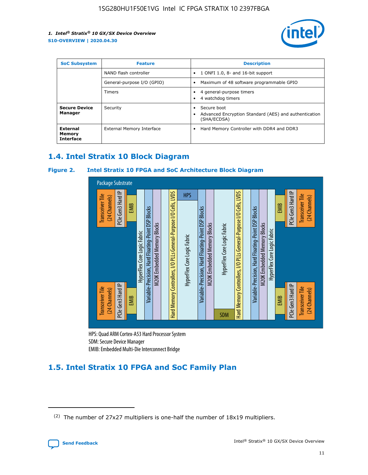

| <b>SoC Subsystem</b><br><b>Feature</b> |                            | <b>Description</b>                                                                                    |
|----------------------------------------|----------------------------|-------------------------------------------------------------------------------------------------------|
|                                        | NAND flash controller      | 1 ONFI 1.0, 8- and 16-bit support<br>$\bullet$                                                        |
|                                        | General-purpose I/O (GPIO) | Maximum of 48 software programmable GPIO<br>$\bullet$                                                 |
|                                        | Timers                     | 4 general-purpose timers<br>4 watchdog timers<br>٠                                                    |
| <b>Secure Device</b><br>Manager        | Security                   | Secure boot<br>$\bullet$<br>Advanced Encryption Standard (AES) and authentication<br>٠<br>(SHA/ECDSA) |
| External<br>Memory<br><b>Interface</b> | External Memory Interface  | Hard Memory Controller with DDR4 and DDR3<br>$\bullet$                                                |

# **1.4. Intel Stratix 10 Block Diagram**

#### **Figure 2. Intel Stratix 10 FPGA and SoC Architecture Block Diagram**



HPS: Quad ARM Cortex-A53 Hard Processor System SDM: Secure Device Manager

# **1.5. Intel Stratix 10 FPGA and SoC Family Plan**

<sup>(2)</sup> The number of 27x27 multipliers is one-half the number of 18x19 multipliers.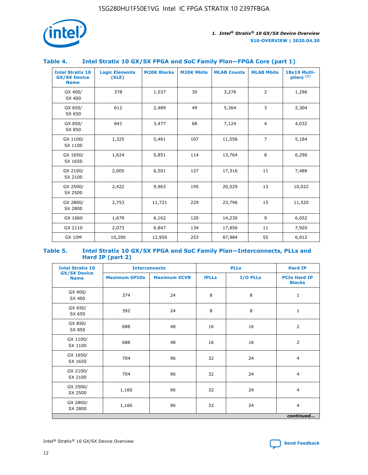

#### **Table 4. Intel Stratix 10 GX/SX FPGA and SoC Family Plan—FPGA Core (part 1)**

| <b>Intel Stratix 10</b><br><b>GX/SX Device</b><br><b>Name</b> | <b>Logic Elements</b><br>(KLE) | <b>M20K Blocks</b> | <b>M20K Mbits</b> | <b>MLAB Counts</b> | <b>MLAB Mbits</b> | 18x19 Multi-<br>pliers <sup>(2)</sup> |
|---------------------------------------------------------------|--------------------------------|--------------------|-------------------|--------------------|-------------------|---------------------------------------|
| GX 400/<br>SX 400                                             | 378                            | 1,537              | 30                | 3,276              | $\overline{2}$    | 1,296                                 |
| GX 650/<br>SX 650                                             | 612                            | 2,489              | 49                | 5,364              | 3                 | 2,304                                 |
| GX 850/<br>SX 850                                             | 841                            | 3,477              | 68                | 7,124              | $\overline{4}$    | 4,032                                 |
| GX 1100/<br>SX 1100                                           | 1,325                          | 5,461              | 107               | 11,556             | $\overline{7}$    | 5,184                                 |
| GX 1650/<br>SX 1650                                           | 1,624                          | 5,851              | 114               | 13,764             | 8                 | 6,290                                 |
| GX 2100/<br>SX 2100                                           | 2,005                          | 6,501              | 127               | 17,316             | 11                | 7,488                                 |
| GX 2500/<br>SX 2500                                           | 2,422                          | 9,963              | 195               | 20,529             | 13                | 10,022                                |
| GX 2800/<br>SX 2800                                           | 2,753                          | 11,721             | 229               | 23,796             | 15                | 11,520                                |
| GX 1660                                                       | 1,679                          | 6,162              | 120               | 14,230             | 9                 | 6,652                                 |
| GX 2110                                                       | 2,073                          | 6,847              | 134               | 17,856             | 11                | 7,920                                 |
| <b>GX 10M</b>                                                 | 10,200                         | 12,950             | 253               | 87,984             | 55                | 6,912                                 |

#### **Table 5. Intel Stratix 10 GX/SX FPGA and SoC Family Plan—Interconnects, PLLs and Hard IP (part 2)**

| <b>Intel Stratix 10</b>            | <b>Interconnects</b> |                     | <b>PLLs</b>  |          | <b>Hard IP</b>                       |
|------------------------------------|----------------------|---------------------|--------------|----------|--------------------------------------|
| <b>GX/SX Device</b><br><b>Name</b> | <b>Maximum GPIOs</b> | <b>Maximum XCVR</b> | <b>fPLLs</b> | I/O PLLs | <b>PCIe Hard IP</b><br><b>Blocks</b> |
| GX 400/<br>SX 400                  | 374                  | 24                  | 8            | 8        | $\mathbf{1}$                         |
| GX 650/<br>SX 650                  | 392                  | 24                  | 8            | 8        | $\mathbf{1}$                         |
| GX 850/<br>SX 850                  | 688                  | 48                  | 16           | 16       | 2                                    |
| GX 1100/<br>SX 1100                | 688                  | 48                  | 16           | 16       | 2                                    |
| GX 1650/<br>SX 1650                | 704                  | 96                  | 32           | 24       | $\overline{4}$                       |
| GX 2100/<br>SX 2100                | 704                  | 96                  | 32           | 24       | $\overline{4}$                       |
| GX 2500/<br>SX 2500                | 1,160                | 96                  | 32           | 24       | $\overline{4}$                       |
| GX 2800/<br>SX 2800                | 1,160                | 96                  | 32           | 24       | $\overline{4}$                       |
|                                    |                      |                     |              |          | continued                            |

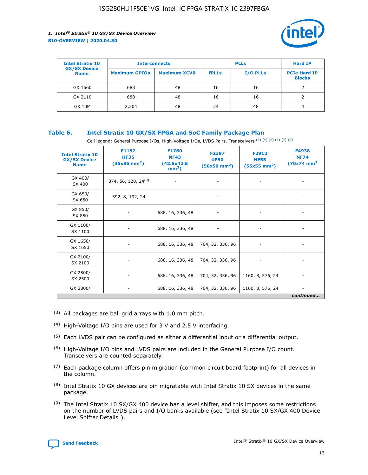

| <b>Intel Stratix 10</b>            | <b>Interconnects</b> |                     | <b>PLLs</b>  |                 | <b>Hard IP</b>                       |
|------------------------------------|----------------------|---------------------|--------------|-----------------|--------------------------------------|
| <b>GX/SX Device</b><br><b>Name</b> | <b>Maximum GPIOs</b> | <b>Maximum XCVR</b> | <b>fPLLs</b> | <b>I/O PLLs</b> | <b>PCIe Hard IP</b><br><b>Blocks</b> |
| GX 1660                            | 688                  | 48                  | 16           | 16              |                                      |
| GX 2110                            | 688                  | 48                  | 16           | 16              |                                      |
| <b>GX 10M</b>                      | 2,304                | 48                  | 24           | 48              | 4                                    |

#### **Table 6. Intel Stratix 10 GX/SX FPGA and SoC Family Package Plan**

Cell legend: General Purpose I/Os, High-Voltage I/Os, LVDS Pairs, Transceivers (3) (4) (5) (6) (7) (8)

| <b>Intel Stratix 10</b><br><b>GX/SX Device</b><br><b>Name</b> | F1152<br><b>HF35</b><br>$(35x35 \text{ mm}^2)$ | F1760<br><b>NF43</b><br>(42.5x42.5<br>$mm2$ ) | F2397<br><b>UF50</b><br>$(50x50 \text{ mm}^2)$ | F2912<br><b>HF55</b><br>$(55x55$ mm <sup>2</sup> ) | F4938<br><b>NF74</b><br>$(70x74)$ mm <sup>2</sup> |
|---------------------------------------------------------------|------------------------------------------------|-----------------------------------------------|------------------------------------------------|----------------------------------------------------|---------------------------------------------------|
| GX 400/<br>SX 400                                             | 374, 56, 120, 24 <sup>(9)</sup>                | $\overline{\phantom{a}}$                      | $\overline{\phantom{a}}$                       | ۰                                                  |                                                   |
| GX 650/<br>SX 650                                             | 392, 8, 192, 24                                | $\overline{\phantom{a}}$                      | $\overline{\phantom{a}}$                       |                                                    |                                                   |
| GX 850/<br>SX 850                                             | ۰.                                             | 688, 16, 336, 48                              |                                                |                                                    |                                                   |
| GX 1100/<br>SX 1100                                           |                                                | 688, 16, 336, 48                              |                                                |                                                    |                                                   |
| GX 1650/<br>SX 1650                                           |                                                | 688, 16, 336, 48                              | 704, 32, 336, 96                               |                                                    |                                                   |
| GX 2100/<br>SX 2100                                           | -                                              | 688, 16, 336, 48                              | 704, 32, 336, 96                               | $\overline{\phantom{a}}$                           |                                                   |
| GX 2500/<br>SX 2500                                           |                                                | 688, 16, 336, 48                              | 704, 32, 336, 96                               | 1160, 8, 576, 24                                   |                                                   |
| GX 2800/                                                      | -                                              | 688, 16, 336, 48                              | 704, 32, 336, 96                               | 1160, 8, 576, 24                                   | $\overline{\phantom{a}}$<br>continued             |

- (3) All packages are ball grid arrays with 1.0 mm pitch.
- (4) High-Voltage I/O pins are used for 3 V and 2.5 V interfacing.
- $(5)$  Each LVDS pair can be configured as either a differential input or a differential output.
- (6) High-Voltage I/O pins and LVDS pairs are included in the General Purpose I/O count. Transceivers are counted separately.
- $(7)$  Each package column offers pin migration (common circuit board footprint) for all devices in the column.
- $(8)$  Intel Stratix 10 GX devices are pin migratable with Intel Stratix 10 SX devices in the same package.
- $(9)$  The Intel Stratix 10 SX/GX 400 device has a level shifter, and this imposes some restrictions on the number of LVDS pairs and I/O banks available (see "Intel Stratix 10 SX/GX 400 Device Level Shifter Details").

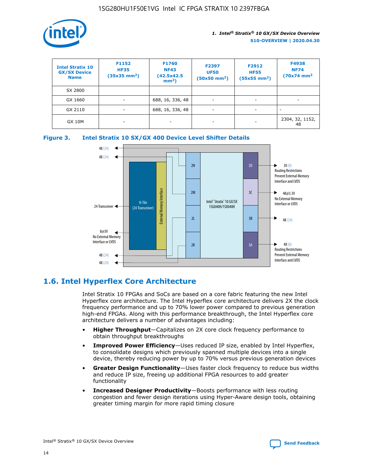

| <b>Intel Stratix 10</b><br><b>GX/SX Device</b><br><b>Name</b> | F1152<br><b>HF35</b><br>$(35x35)$ mm <sup>2</sup> ) | <b>F1760</b><br><b>NF43</b><br>(42.5x42.5<br>$mm2$ ) | F2397<br><b>UF50</b><br>$(50x50$ mm <sup>2</sup> ) | F2912<br><b>HF55</b><br>$(55x55$ mm <sup>2</sup> ) | F4938<br><b>NF74</b><br>$(70x74)$ mm <sup>2</sup> |
|---------------------------------------------------------------|-----------------------------------------------------|------------------------------------------------------|----------------------------------------------------|----------------------------------------------------|---------------------------------------------------|
| SX 2800                                                       |                                                     |                                                      |                                                    |                                                    |                                                   |
| GX 1660                                                       | ٠                                                   | 688, 16, 336, 48                                     | ٠                                                  |                                                    |                                                   |
| GX 2110                                                       | ٠                                                   | 688, 16, 336, 48                                     | $\overline{\phantom{a}}$                           |                                                    | $\overline{\phantom{a}}$                          |
| <b>GX 10M</b>                                                 | ٠                                                   | -                                                    | -                                                  |                                                    | 2304, 32, 1152,<br>48                             |





# **1.6. Intel Hyperflex Core Architecture**

Intel Stratix 10 FPGAs and SoCs are based on a core fabric featuring the new Intel Hyperflex core architecture. The Intel Hyperflex core architecture delivers 2X the clock frequency performance and up to 70% lower power compared to previous generation high-end FPGAs. Along with this performance breakthrough, the Intel Hyperflex core architecture delivers a number of advantages including:

- **Higher Throughput**—Capitalizes on 2X core clock frequency performance to obtain throughput breakthroughs
- **Improved Power Efficiency**—Uses reduced IP size, enabled by Intel Hyperflex, to consolidate designs which previously spanned multiple devices into a single device, thereby reducing power by up to 70% versus previous generation devices
- **Greater Design Functionality**—Uses faster clock frequency to reduce bus widths and reduce IP size, freeing up additional FPGA resources to add greater functionality
- **Increased Designer Productivity**—Boosts performance with less routing congestion and fewer design iterations using Hyper-Aware design tools, obtaining greater timing margin for more rapid timing closure

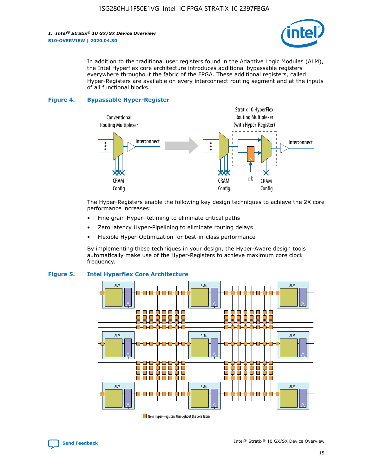

In addition to the traditional user registers found in the Adaptive Logic Modules (ALM), the Intel Hyperflex core architecture introduces additional bypassable registers everywhere throughout the fabric of the FPGA. These additional registers, called Hyper-Registers are available on every interconnect routing segment and at the inputs of all functional blocks.

#### **Figure 4. Bypassable Hyper-Register**



The Hyper-Registers enable the following key design techniques to achieve the 2X core performance increases:

- Fine grain Hyper-Retiming to eliminate critical paths
- Zero latency Hyper-Pipelining to eliminate routing delays
- Flexible Hyper-Optimization for best-in-class performance

By implementing these techniques in your design, the Hyper-Aware design tools automatically make use of the Hyper-Registers to achieve maximum core clock frequency.



#### **Figure 5. Intel Hyperflex Core Architecture**

New Hyper-Registers throughout the core fabric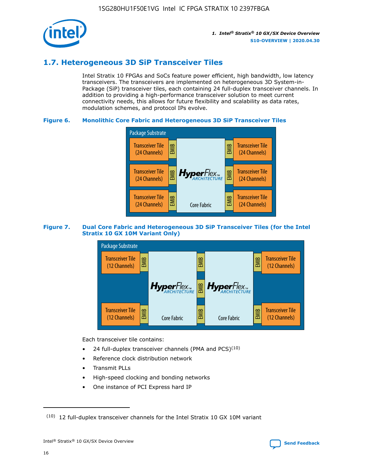

# **1.7. Heterogeneous 3D SiP Transceiver Tiles**

Intel Stratix 10 FPGAs and SoCs feature power efficient, high bandwidth, low latency transceivers. The transceivers are implemented on heterogeneous 3D System-in-Package (SiP) transceiver tiles, each containing 24 full-duplex transceiver channels. In addition to providing a high-performance transceiver solution to meet current connectivity needs, this allows for future flexibility and scalability as data rates, modulation schemes, and protocol IPs evolve.

#### **Figure 6. Monolithic Core Fabric and Heterogeneous 3D SiP Transceiver Tiles**



#### **Figure 7. Dual Core Fabric and Heterogeneous 3D SiP Transceiver Tiles (for the Intel Stratix 10 GX 10M Variant Only)**



Each transceiver tile contains:

- 24 full-duplex transceiver channels (PMA and PCS) $(10)$
- Reference clock distribution network
- Transmit PLLs
- High-speed clocking and bonding networks
- One instance of PCI Express hard IP

 $(10)$  12 full-duplex transceiver channels for the Intel Stratix 10 GX 10M variant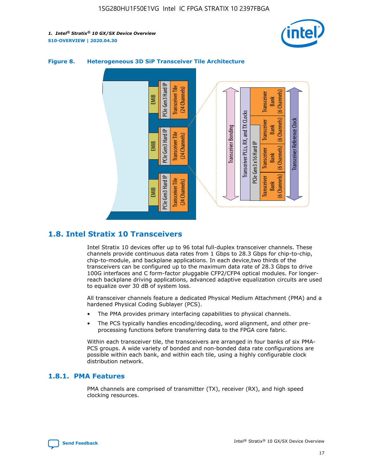



#### **Figure 8. Heterogeneous 3D SiP Transceiver Tile Architecture**

# **1.8. Intel Stratix 10 Transceivers**

Intel Stratix 10 devices offer up to 96 total full-duplex transceiver channels. These channels provide continuous data rates from 1 Gbps to 28.3 Gbps for chip-to-chip, chip-to-module, and backplane applications. In each device,two thirds of the transceivers can be configured up to the maximum data rate of 28.3 Gbps to drive 100G interfaces and C form-factor pluggable CFP2/CFP4 optical modules. For longerreach backplane driving applications, advanced adaptive equalization circuits are used to equalize over 30 dB of system loss.

All transceiver channels feature a dedicated Physical Medium Attachment (PMA) and a hardened Physical Coding Sublayer (PCS).

- The PMA provides primary interfacing capabilities to physical channels.
- The PCS typically handles encoding/decoding, word alignment, and other preprocessing functions before transferring data to the FPGA core fabric.

Within each transceiver tile, the transceivers are arranged in four banks of six PMA-PCS groups. A wide variety of bonded and non-bonded data rate configurations are possible within each bank, and within each tile, using a highly configurable clock distribution network.

#### **1.8.1. PMA Features**

PMA channels are comprised of transmitter (TX), receiver (RX), and high speed clocking resources.

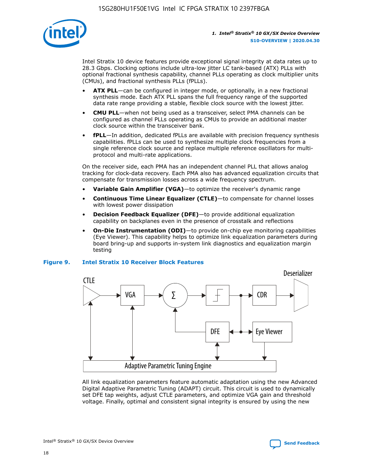

Intel Stratix 10 device features provide exceptional signal integrity at data rates up to 28.3 Gbps. Clocking options include ultra-low jitter LC tank-based (ATX) PLLs with optional fractional synthesis capability, channel PLLs operating as clock multiplier units (CMUs), and fractional synthesis PLLs (fPLLs).

- **ATX PLL**—can be configured in integer mode, or optionally, in a new fractional synthesis mode. Each ATX PLL spans the full frequency range of the supported data rate range providing a stable, flexible clock source with the lowest jitter.
- **CMU PLL**—when not being used as a transceiver, select PMA channels can be configured as channel PLLs operating as CMUs to provide an additional master clock source within the transceiver bank.
- **fPLL**—In addition, dedicated fPLLs are available with precision frequency synthesis capabilities. fPLLs can be used to synthesize multiple clock frequencies from a single reference clock source and replace multiple reference oscillators for multiprotocol and multi-rate applications.

On the receiver side, each PMA has an independent channel PLL that allows analog tracking for clock-data recovery. Each PMA also has advanced equalization circuits that compensate for transmission losses across a wide frequency spectrum.

- **Variable Gain Amplifier (VGA)**—to optimize the receiver's dynamic range
- **Continuous Time Linear Equalizer (CTLE)**—to compensate for channel losses with lowest power dissipation
- **Decision Feedback Equalizer (DFE)**—to provide additional equalization capability on backplanes even in the presence of crosstalk and reflections
- **On-Die Instrumentation (ODI)**—to provide on-chip eye monitoring capabilities (Eye Viewer). This capability helps to optimize link equalization parameters during board bring-up and supports in-system link diagnostics and equalization margin testing

#### **Figure 9. Intel Stratix 10 Receiver Block Features**



All link equalization parameters feature automatic adaptation using the new Advanced Digital Adaptive Parametric Tuning (ADAPT) circuit. This circuit is used to dynamically set DFE tap weights, adjust CTLE parameters, and optimize VGA gain and threshold voltage. Finally, optimal and consistent signal integrity is ensured by using the new

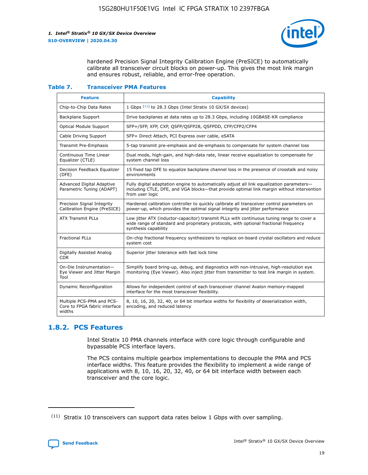

hardened Precision Signal Integrity Calibration Engine (PreSICE) to automatically calibrate all transceiver circuit blocks on power-up. This gives the most link margin and ensures robust, reliable, and error-free operation.

#### **Table 7. Transceiver PMA Features**

| <b>Feature</b>                                                       | <b>Capability</b>                                                                                                                                                                                         |
|----------------------------------------------------------------------|-----------------------------------------------------------------------------------------------------------------------------------------------------------------------------------------------------------|
| Chip-to-Chip Data Rates                                              | 1 Gbps (11) to 28.3 Gbps (Intel Stratix 10 GX/SX devices)                                                                                                                                                 |
| <b>Backplane Support</b>                                             | Drive backplanes at data rates up to 28.3 Gbps, including 10GBASE-KR compliance                                                                                                                           |
| Optical Module Support                                               | SFP+/SFP, XFP, CXP, QSFP/QSFP28, QSFPDD, CFP/CFP2/CFP4                                                                                                                                                    |
| Cable Driving Support                                                | SFP+ Direct Attach, PCI Express over cable, eSATA                                                                                                                                                         |
| <b>Transmit Pre-Emphasis</b>                                         | 5-tap transmit pre-emphasis and de-emphasis to compensate for system channel loss                                                                                                                         |
| Continuous Time Linear<br>Equalizer (CTLE)                           | Dual mode, high-gain, and high-data rate, linear receive equalization to compensate for<br>system channel loss                                                                                            |
| Decision Feedback Equalizer<br>(DFE)                                 | 15 fixed tap DFE to equalize backplane channel loss in the presence of crosstalk and noisy<br>environments                                                                                                |
| Advanced Digital Adaptive<br>Parametric Tuning (ADAPT)               | Fully digital adaptation engine to automatically adjust all link equalization parameters-<br>including CTLE, DFE, and VGA blocks-that provide optimal link margin without intervention<br>from user logic |
| Precision Signal Integrity<br>Calibration Engine (PreSICE)           | Hardened calibration controller to quickly calibrate all transceiver control parameters on<br>power-up, which provides the optimal signal integrity and jitter performance                                |
| <b>ATX Transmit PLLs</b>                                             | Low jitter ATX (inductor-capacitor) transmit PLLs with continuous tuning range to cover a<br>wide range of standard and proprietary protocols, with optional fractional frequency<br>synthesis capability |
| <b>Fractional PLLs</b>                                               | On-chip fractional frequency synthesizers to replace on-board crystal oscillators and reduce<br>system cost                                                                                               |
| Digitally Assisted Analog<br>CDR.                                    | Superior jitter tolerance with fast lock time                                                                                                                                                             |
| On-Die Instrumentation-<br>Eye Viewer and Jitter Margin<br>Tool      | Simplify board bring-up, debug, and diagnostics with non-intrusive, high-resolution eye<br>monitoring (Eye Viewer). Also inject jitter from transmitter to test link margin in system.                    |
| Dynamic Reconfiguration                                              | Allows for independent control of each transceiver channel Avalon memory-mapped<br>interface for the most transceiver flexibility.                                                                        |
| Multiple PCS-PMA and PCS-<br>Core to FPGA fabric interface<br>widths | 8, 10, 16, 20, 32, 40, or 64 bit interface widths for flexibility of deserialization width,<br>encoding, and reduced latency                                                                              |

### **1.8.2. PCS Features**

Intel Stratix 10 PMA channels interface with core logic through configurable and bypassable PCS interface layers.

The PCS contains multiple gearbox implementations to decouple the PMA and PCS interface widths. This feature provides the flexibility to implement a wide range of applications with 8, 10, 16, 20, 32, 40, or 64 bit interface width between each transceiver and the core logic.

<sup>(11)</sup> Stratix 10 transceivers can support data rates below 1 Gbps with over sampling.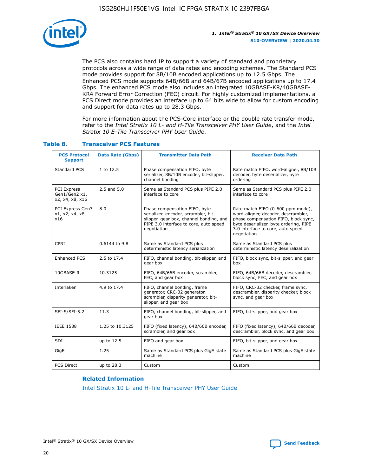

The PCS also contains hard IP to support a variety of standard and proprietary protocols across a wide range of data rates and encoding schemes. The Standard PCS mode provides support for 8B/10B encoded applications up to 12.5 Gbps. The Enhanced PCS mode supports 64B/66B and 64B/67B encoded applications up to 17.4 Gbps. The enhanced PCS mode also includes an integrated 10GBASE-KR/40GBASE-KR4 Forward Error Correction (FEC) circuit. For highly customized implementations, a PCS Direct mode provides an interface up to 64 bits wide to allow for custom encoding and support for data rates up to 28.3 Gbps.

For more information about the PCS-Core interface or the double rate transfer mode, refer to the *Intel Stratix 10 L- and H-Tile Transceiver PHY User Guide*, and the *Intel Stratix 10 E-Tile Transceiver PHY User Guide*.

| <b>PCS Protocol</b><br><b>Support</b>           | <b>Data Rate (Gbps)</b> | <b>Transmitter Data Path</b>                                                                                                                                              | <b>Receiver Data Path</b>                                                                                                                                                                                      |
|-------------------------------------------------|-------------------------|---------------------------------------------------------------------------------------------------------------------------------------------------------------------------|----------------------------------------------------------------------------------------------------------------------------------------------------------------------------------------------------------------|
| Standard PCS                                    | 1 to 12.5               | Phase compensation FIFO, byte<br>serializer, 8B/10B encoder, bit-slipper,<br>channel bonding                                                                              | Rate match FIFO, word-aligner, 8B/10B<br>decoder, byte deserializer, byte<br>ordering                                                                                                                          |
| PCI Express<br>Gen1/Gen2 x1,<br>x2, x4, x8, x16 | $2.5$ and $5.0$         | Same as Standard PCS plus PIPE 2.0<br>interface to core                                                                                                                   | Same as Standard PCS plus PIPE 2.0<br>interface to core                                                                                                                                                        |
| PCI Express Gen3<br>x1, x2, x4, x8,<br>x16      | 8.0                     | Phase compensation FIFO, byte<br>serializer, encoder, scrambler, bit-<br>slipper, gear box, channel bonding, and<br>PIPE 3.0 interface to core, auto speed<br>negotiation | Rate match FIFO (0-600 ppm mode),<br>word-aligner, decoder, descrambler,<br>phase compensation FIFO, block sync,<br>byte deserializer, byte ordering, PIPE<br>3.0 interface to core, auto speed<br>negotiation |
| CPRI                                            | 0.6144 to 9.8           | Same as Standard PCS plus<br>deterministic latency serialization                                                                                                          | Same as Standard PCS plus<br>deterministic latency deserialization                                                                                                                                             |
| <b>Enhanced PCS</b>                             | 2.5 to 17.4             | FIFO, channel bonding, bit-slipper, and<br>gear box                                                                                                                       | FIFO, block sync, bit-slipper, and gear<br>box                                                                                                                                                                 |
| 10GBASE-R                                       | 10.3125                 | FIFO, 64B/66B encoder, scrambler,<br>FEC, and gear box                                                                                                                    | FIFO, 64B/66B decoder, descrambler,<br>block sync, FEC, and gear box                                                                                                                                           |
| Interlaken                                      | 4.9 to 17.4             | FIFO, channel bonding, frame<br>generator, CRC-32 generator,<br>scrambler, disparity generator, bit-<br>slipper, and gear box                                             | FIFO, CRC-32 checker, frame sync,<br>descrambler, disparity checker, block<br>sync, and gear box                                                                                                               |
| SFI-S/SFI-5.2                                   | 11.3                    | FIFO, channel bonding, bit-slipper, and<br>gear box                                                                                                                       | FIFO, bit-slipper, and gear box                                                                                                                                                                                |
| <b>IEEE 1588</b>                                | 1.25 to 10.3125         | FIFO (fixed latency), 64B/66B encoder,<br>scrambler, and gear box                                                                                                         | FIFO (fixed latency), 64B/66B decoder,<br>descrambler, block sync, and gear box                                                                                                                                |
| SDI                                             | up to 12.5              | FIFO and gear box                                                                                                                                                         | FIFO, bit-slipper, and gear box                                                                                                                                                                                |
| GigE                                            | 1.25                    | Same as Standard PCS plus GigE state<br>machine                                                                                                                           | Same as Standard PCS plus GigE state<br>machine                                                                                                                                                                |
| <b>PCS Direct</b>                               | up to 28.3              | Custom                                                                                                                                                                    | Custom                                                                                                                                                                                                         |

#### **Table 8. Transceiver PCS Features**

#### **Related Information**

[Intel Stratix 10 L- and H-Tile Transceiver PHY User Guide](https://www.altera.com/documentation/wry1479165198810.html)

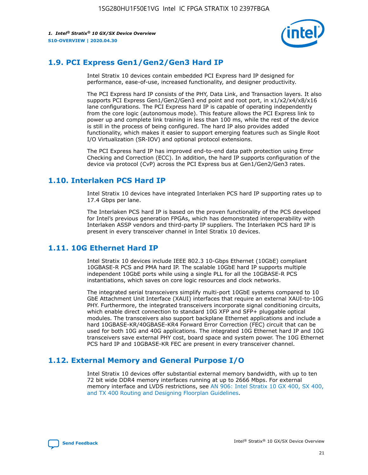

# **1.9. PCI Express Gen1/Gen2/Gen3 Hard IP**

Intel Stratix 10 devices contain embedded PCI Express hard IP designed for performance, ease-of-use, increased functionality, and designer productivity.

The PCI Express hard IP consists of the PHY, Data Link, and Transaction layers. It also supports PCI Express Gen1/Gen2/Gen3 end point and root port, in x1/x2/x4/x8/x16 lane configurations. The PCI Express hard IP is capable of operating independently from the core logic (autonomous mode). This feature allows the PCI Express link to power up and complete link training in less than 100 ms, while the rest of the device is still in the process of being configured. The hard IP also provides added functionality, which makes it easier to support emerging features such as Single Root I/O Virtualization (SR-IOV) and optional protocol extensions.

The PCI Express hard IP has improved end-to-end data path protection using Error Checking and Correction (ECC). In addition, the hard IP supports configuration of the device via protocol (CvP) across the PCI Express bus at Gen1/Gen2/Gen3 rates.

# **1.10. Interlaken PCS Hard IP**

Intel Stratix 10 devices have integrated Interlaken PCS hard IP supporting rates up to 17.4 Gbps per lane.

The Interlaken PCS hard IP is based on the proven functionality of the PCS developed for Intel's previous generation FPGAs, which has demonstrated interoperability with Interlaken ASSP vendors and third-party IP suppliers. The Interlaken PCS hard IP is present in every transceiver channel in Intel Stratix 10 devices.

# **1.11. 10G Ethernet Hard IP**

Intel Stratix 10 devices include IEEE 802.3 10-Gbps Ethernet (10GbE) compliant 10GBASE-R PCS and PMA hard IP. The scalable 10GbE hard IP supports multiple independent 10GbE ports while using a single PLL for all the 10GBASE-R PCS instantiations, which saves on core logic resources and clock networks.

The integrated serial transceivers simplify multi-port 10GbE systems compared to 10 GbE Attachment Unit Interface (XAUI) interfaces that require an external XAUI-to-10G PHY. Furthermore, the integrated transceivers incorporate signal conditioning circuits, which enable direct connection to standard 10G XFP and SFP+ pluggable optical modules. The transceivers also support backplane Ethernet applications and include a hard 10GBASE-KR/40GBASE-KR4 Forward Error Correction (FEC) circuit that can be used for both 10G and 40G applications. The integrated 10G Ethernet hard IP and 10G transceivers save external PHY cost, board space and system power. The 10G Ethernet PCS hard IP and 10GBASE-KR FEC are present in every transceiver channel.

# **1.12. External Memory and General Purpose I/O**

Intel Stratix 10 devices offer substantial external memory bandwidth, with up to ten 72 bit wide DDR4 memory interfaces running at up to 2666 Mbps. For external memory interface and LVDS restrictions, see [AN 906: Intel Stratix 10 GX 400, SX 400,](https://www.intel.com/content/www/us/en/programmable/documentation/sjf1574667190623.html#bft1574667627484) [and TX 400 Routing and Designing Floorplan Guidelines.](https://www.intel.com/content/www/us/en/programmable/documentation/sjf1574667190623.html#bft1574667627484)

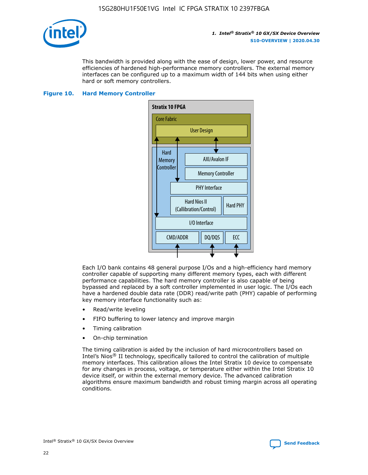

This bandwidth is provided along with the ease of design, lower power, and resource efficiencies of hardened high-performance memory controllers. The external memory interfaces can be configured up to a maximum width of 144 bits when using either hard or soft memory controllers.

#### **Figure 10. Hard Memory Controller**



Each I/O bank contains 48 general purpose I/Os and a high-efficiency hard memory controller capable of supporting many different memory types, each with different performance capabilities. The hard memory controller is also capable of being bypassed and replaced by a soft controller implemented in user logic. The I/Os each have a hardened double data rate (DDR) read/write path (PHY) capable of performing key memory interface functionality such as:

- Read/write leveling
- FIFO buffering to lower latency and improve margin
- Timing calibration
- On-chip termination

The timing calibration is aided by the inclusion of hard microcontrollers based on Intel's Nios® II technology, specifically tailored to control the calibration of multiple memory interfaces. This calibration allows the Intel Stratix 10 device to compensate for any changes in process, voltage, or temperature either within the Intel Stratix 10 device itself, or within the external memory device. The advanced calibration algorithms ensure maximum bandwidth and robust timing margin across all operating conditions.

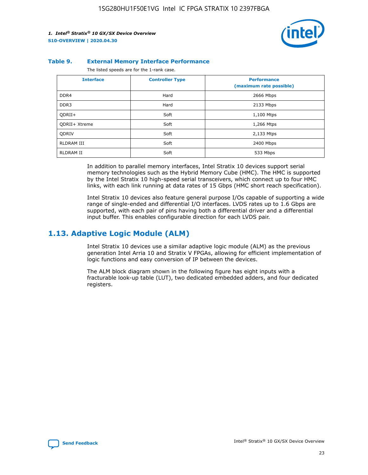

#### **Table 9. External Memory Interface Performance**

The listed speeds are for the 1-rank case.

| <b>Interface</b>     | <b>Controller Type</b> | <b>Performance</b><br>(maximum rate possible) |
|----------------------|------------------------|-----------------------------------------------|
| DDR4                 | Hard                   | 2666 Mbps                                     |
| DDR <sub>3</sub>     | Hard                   | 2133 Mbps                                     |
| QDRII+               | Soft                   | 1,100 Mtps                                    |
| <b>ODRII+ Xtreme</b> | Soft                   | 1,266 Mtps                                    |
| <b>ODRIV</b>         | Soft                   | 2,133 Mtps                                    |
| RLDRAM III           | Soft                   | 2400 Mbps                                     |
| <b>RLDRAM II</b>     | Soft                   | 533 Mbps                                      |

In addition to parallel memory interfaces, Intel Stratix 10 devices support serial memory technologies such as the Hybrid Memory Cube (HMC). The HMC is supported by the Intel Stratix 10 high-speed serial transceivers, which connect up to four HMC links, with each link running at data rates of 15 Gbps (HMC short reach specification).

Intel Stratix 10 devices also feature general purpose I/Os capable of supporting a wide range of single-ended and differential I/O interfaces. LVDS rates up to 1.6 Gbps are supported, with each pair of pins having both a differential driver and a differential input buffer. This enables configurable direction for each LVDS pair.

### **1.13. Adaptive Logic Module (ALM)**

Intel Stratix 10 devices use a similar adaptive logic module (ALM) as the previous generation Intel Arria 10 and Stratix V FPGAs, allowing for efficient implementation of logic functions and easy conversion of IP between the devices.

The ALM block diagram shown in the following figure has eight inputs with a fracturable look-up table (LUT), two dedicated embedded adders, and four dedicated registers.

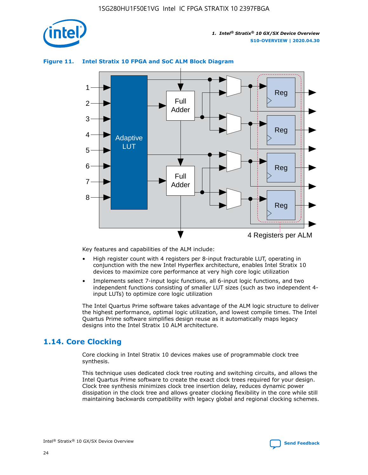

# Reg Reg 1 2 3 4 5 6 7 8 Reg Reg 4 Registers per ALM Full Adder Full Adder Adaptive **LUT**

#### **Figure 11. Intel Stratix 10 FPGA and SoC ALM Block Diagram**

Key features and capabilities of the ALM include:

- High register count with 4 registers per 8-input fracturable LUT, operating in conjunction with the new Intel Hyperflex architecture, enables Intel Stratix 10 devices to maximize core performance at very high core logic utilization
- Implements select 7-input logic functions, all 6-input logic functions, and two independent functions consisting of smaller LUT sizes (such as two independent 4 input LUTs) to optimize core logic utilization

The Intel Quartus Prime software takes advantage of the ALM logic structure to deliver the highest performance, optimal logic utilization, and lowest compile times. The Intel Quartus Prime software simplifies design reuse as it automatically maps legacy designs into the Intel Stratix 10 ALM architecture.

# **1.14. Core Clocking**

Core clocking in Intel Stratix 10 devices makes use of programmable clock tree synthesis.

This technique uses dedicated clock tree routing and switching circuits, and allows the Intel Quartus Prime software to create the exact clock trees required for your design. Clock tree synthesis minimizes clock tree insertion delay, reduces dynamic power dissipation in the clock tree and allows greater clocking flexibility in the core while still maintaining backwards compatibility with legacy global and regional clocking schemes.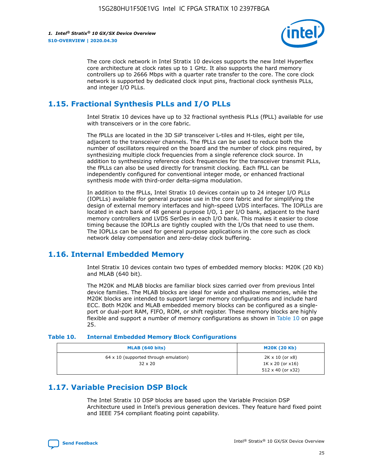

The core clock network in Intel Stratix 10 devices supports the new Intel Hyperflex core architecture at clock rates up to 1 GHz. It also supports the hard memory controllers up to 2666 Mbps with a quarter rate transfer to the core. The core clock network is supported by dedicated clock input pins, fractional clock synthesis PLLs, and integer I/O PLLs.

# **1.15. Fractional Synthesis PLLs and I/O PLLs**

Intel Stratix 10 devices have up to 32 fractional synthesis PLLs (fPLL) available for use with transceivers or in the core fabric.

The fPLLs are located in the 3D SiP transceiver L-tiles and H-tiles, eight per tile, adjacent to the transceiver channels. The fPLLs can be used to reduce both the number of oscillators required on the board and the number of clock pins required, by synthesizing multiple clock frequencies from a single reference clock source. In addition to synthesizing reference clock frequencies for the transceiver transmit PLLs, the fPLLs can also be used directly for transmit clocking. Each fPLL can be independently configured for conventional integer mode, or enhanced fractional synthesis mode with third-order delta-sigma modulation.

In addition to the fPLLs, Intel Stratix 10 devices contain up to 24 integer I/O PLLs (IOPLLs) available for general purpose use in the core fabric and for simplifying the design of external memory interfaces and high-speed LVDS interfaces. The IOPLLs are located in each bank of 48 general purpose I/O, 1 per I/O bank, adjacent to the hard memory controllers and LVDS SerDes in each I/O bank. This makes it easier to close timing because the IOPLLs are tightly coupled with the I/Os that need to use them. The IOPLLs can be used for general purpose applications in the core such as clock network delay compensation and zero-delay clock buffering.

# **1.16. Internal Embedded Memory**

Intel Stratix 10 devices contain two types of embedded memory blocks: M20K (20 Kb) and MLAB (640 bit).

The M20K and MLAB blocks are familiar block sizes carried over from previous Intel device families. The MLAB blocks are ideal for wide and shallow memories, while the M20K blocks are intended to support larger memory configurations and include hard ECC. Both M20K and MLAB embedded memory blocks can be configured as a singleport or dual-port RAM, FIFO, ROM, or shift register. These memory blocks are highly flexible and support a number of memory configurations as shown in Table 10 on page 25.

#### **Table 10. Internal Embedded Memory Block Configurations**

| MLAB (640 bits)                                                | <b>M20K (20 Kb)</b>                                                                    |
|----------------------------------------------------------------|----------------------------------------------------------------------------------------|
| $64 \times 10$ (supported through emulation)<br>$32 \times 20$ | $2K \times 10$ (or $x8$ )<br>$1K \times 20$ (or $x16$ )<br>$512 \times 40$ (or $x32$ ) |

# **1.17. Variable Precision DSP Block**

The Intel Stratix 10 DSP blocks are based upon the Variable Precision DSP Architecture used in Intel's previous generation devices. They feature hard fixed point and IEEE 754 compliant floating point capability.

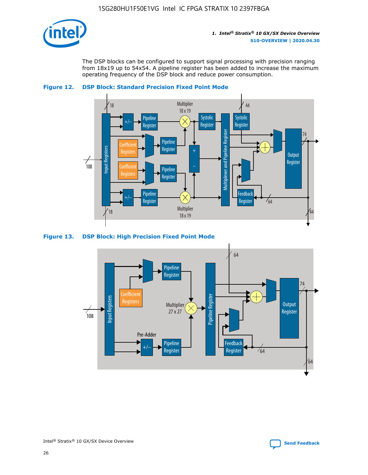

The DSP blocks can be configured to support signal processing with precision ranging from 18x19 up to 54x54. A pipeline register has been added to increase the maximum operating frequency of the DSP block and reduce power consumption.





#### **Figure 13. DSP Block: High Precision Fixed Point Mode**

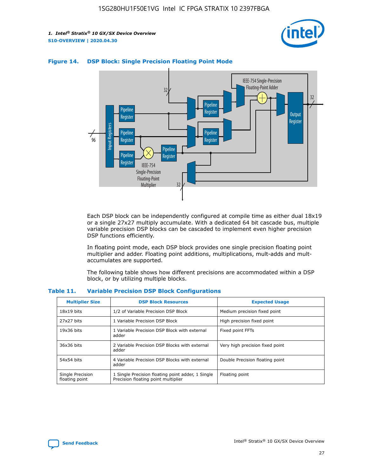



#### **Figure 14. DSP Block: Single Precision Floating Point Mode**

Each DSP block can be independently configured at compile time as either dual 18x19 or a single 27x27 multiply accumulate. With a dedicated 64 bit cascade bus, multiple variable precision DSP blocks can be cascaded to implement even higher precision DSP functions efficiently.

In floating point mode, each DSP block provides one single precision floating point multiplier and adder. Floating point additions, multiplications, mult-adds and multaccumulates are supported.

The following table shows how different precisions are accommodated within a DSP block, or by utilizing multiple blocks.

| <b>Multiplier Size</b>             | <b>DSP Block Resources</b>                                                               | <b>Expected Usage</b>           |
|------------------------------------|------------------------------------------------------------------------------------------|---------------------------------|
| $18x19$ bits                       | 1/2 of Variable Precision DSP Block                                                      | Medium precision fixed point    |
| 27x27 bits                         | 1 Variable Precision DSP Block                                                           | High precision fixed point      |
| $19x36$ bits                       | 1 Variable Precision DSP Block with external<br>adder                                    | Fixed point FFTs                |
| 36x36 bits                         | 2 Variable Precision DSP Blocks with external<br>adder                                   | Very high precision fixed point |
| 54x54 bits                         | 4 Variable Precision DSP Blocks with external<br>adder                                   | Double Precision floating point |
| Single Precision<br>floating point | 1 Single Precision floating point adder, 1 Single<br>Precision floating point multiplier | Floating point                  |

#### **Table 11. Variable Precision DSP Block Configurations**

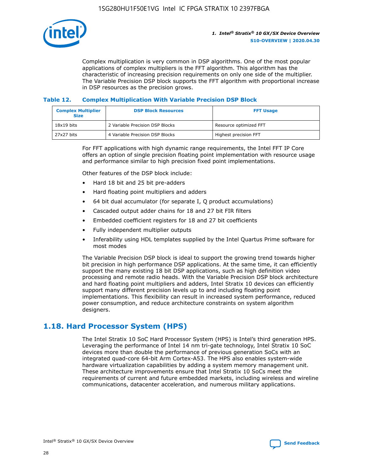

Complex multiplication is very common in DSP algorithms. One of the most popular applications of complex multipliers is the FFT algorithm. This algorithm has the characteristic of increasing precision requirements on only one side of the multiplier. The Variable Precision DSP block supports the FFT algorithm with proportional increase in DSP resources as the precision grows.

#### **Table 12. Complex Multiplication With Variable Precision DSP Block**

| <b>Complex Multiplier</b><br><b>Size</b> | <b>DSP Block Resources</b>      | <b>FFT Usage</b>       |
|------------------------------------------|---------------------------------|------------------------|
| $18x19$ bits                             | 2 Variable Precision DSP Blocks | Resource optimized FFT |
| 27x27 bits                               | 4 Variable Precision DSP Blocks | Highest precision FFT  |

For FFT applications with high dynamic range requirements, the Intel FFT IP Core offers an option of single precision floating point implementation with resource usage and performance similar to high precision fixed point implementations.

Other features of the DSP block include:

- Hard 18 bit and 25 bit pre-adders
- Hard floating point multipliers and adders
- 64 bit dual accumulator (for separate I, Q product accumulations)
- Cascaded output adder chains for 18 and 27 bit FIR filters
- Embedded coefficient registers for 18 and 27 bit coefficients
- Fully independent multiplier outputs
- Inferability using HDL templates supplied by the Intel Quartus Prime software for most modes

The Variable Precision DSP block is ideal to support the growing trend towards higher bit precision in high performance DSP applications. At the same time, it can efficiently support the many existing 18 bit DSP applications, such as high definition video processing and remote radio heads. With the Variable Precision DSP block architecture and hard floating point multipliers and adders, Intel Stratix 10 devices can efficiently support many different precision levels up to and including floating point implementations. This flexibility can result in increased system performance, reduced power consumption, and reduce architecture constraints on system algorithm designers.

# **1.18. Hard Processor System (HPS)**

The Intel Stratix 10 SoC Hard Processor System (HPS) is Intel's third generation HPS. Leveraging the performance of Intel 14 nm tri-gate technology, Intel Stratix 10 SoC devices more than double the performance of previous generation SoCs with an integrated quad-core 64-bit Arm Cortex-A53. The HPS also enables system-wide hardware virtualization capabilities by adding a system memory management unit. These architecture improvements ensure that Intel Stratix 10 SoCs meet the requirements of current and future embedded markets, including wireless and wireline communications, datacenter acceleration, and numerous military applications.

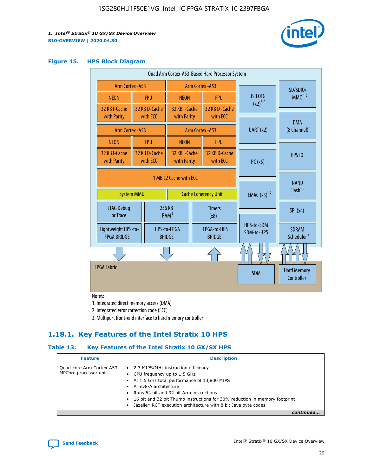

#### **Figure 15. HPS Block Diagram**

| Quad Arm Cortex-A53-Based Hard Processor System |                                             |                             |                                           |                          |                                     |                          |                                         |
|-------------------------------------------------|---------------------------------------------|-----------------------------|-------------------------------------------|--------------------------|-------------------------------------|--------------------------|-----------------------------------------|
|                                                 | <b>Arm Cortex - A53</b><br>Arm Cortex - A53 |                             |                                           |                          |                                     | SD/SDIO/                 |                                         |
| <b>NEON</b>                                     |                                             | <b>FPU</b>                  | <b>NEON</b>                               |                          | <b>FPU</b>                          | USB OTG                  | $MMC$ <sup>1,2</sup>                    |
| 32 KB I-Cache                                   |                                             | 32 KB D-Cache<br>with ECC   | 32 KB I-Cache                             |                          | 32 KB D - Cache<br>with ECC         | $(x2)^{1,2}$             |                                         |
| with Parity                                     |                                             |                             | with Parity                               |                          |                                     |                          | <b>DMA</b>                              |
|                                                 | Arm Cortex - A53                            |                             |                                           |                          | Arm Cortex - A53                    | UART (x2)                | $(8$ Channel) $^2$                      |
| <b>NEON</b>                                     |                                             | <b>FPU</b>                  | <b>NEON</b>                               |                          | <b>FPU</b>                          |                          |                                         |
| 32 KB I-Cache<br>with Parity                    |                                             | 32 KB D-Cache<br>with ECC   | 32 KB I-Cache<br>with Parity              |                          | 32 KB D-Cache<br>with ECC           | I <sup>2</sup> C(x5)     | <b>HPS 10</b>                           |
| 1 MB L2 Cache with ECC<br><b>System MMU</b>     |                                             | <b>Cache Coherency Unit</b> |                                           | <b>EMAC</b> $(x3)^{1,2}$ | <b>NAND</b><br>Flash <sup>1,2</sup> |                          |                                         |
| JTAG Debug<br>or Trace                          |                                             | 256 KB                      | <b>Timers</b><br>RAM <sup>2</sup><br>(x8) |                          |                                     |                          | SPI(x4)                                 |
| Lightweight HPS-to-<br><b>FPGA BRIDGE</b>       |                                             |                             | HPS-to-FPGA<br><b>BRIDGE</b>              |                          | FPGA-to-HPS<br><b>BRIDGE</b>        | HPS-to-SDM<br>SDM-to-HPS | <b>SDRAM</b><br>Scheduler <sup>3</sup>  |
|                                                 |                                             |                             |                                           |                          |                                     |                          |                                         |
| <b>FPGA Fabric</b>                              |                                             |                             |                                           |                          |                                     | <b>SDM</b>               | <b>Hard Memory</b><br><b>Controller</b> |

Notes:

1. Integrated direct memory access (DMA)

2. Integrated error correction code (ECC)

3. Multiport front-end interface to hard memory controller

### **1.18.1. Key Features of the Intel Stratix 10 HPS**

#### **Table 13. Key Features of the Intel Stratix 10 GX/SX HPS**

| <b>Feature</b>                                    | <b>Description</b>                                                                                                                                                                                                                                                                                                                     |
|---------------------------------------------------|----------------------------------------------------------------------------------------------------------------------------------------------------------------------------------------------------------------------------------------------------------------------------------------------------------------------------------------|
| Quad-core Arm Cortex-A53<br>MPCore processor unit | • 2.3 MIPS/MHz instruction efficiency<br>CPU frequency up to 1.5 GHz<br>At 1.5 GHz total performance of 13,800 MIPS<br>Army8-A architecture<br>Runs 64 bit and 32 bit Arm instructions<br>16 bit and 32 bit Thumb instructions for 30% reduction in memory footprint<br>Jazelle* RCT execution architecture with 8 bit Java byte codes |
|                                                   |                                                                                                                                                                                                                                                                                                                                        |

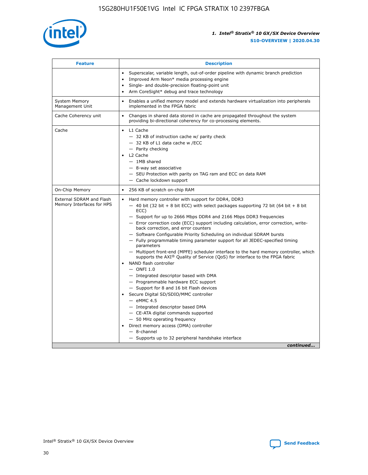

| <b>Feature</b>                                        | <b>Description</b>                                                                                                                                                                                                                                                                                                                                                                                                                                                                                                                                                                                                                                                                                                                                                                                                                                                                                                                                                                                                                                                                                                                                                                                               |  |
|-------------------------------------------------------|------------------------------------------------------------------------------------------------------------------------------------------------------------------------------------------------------------------------------------------------------------------------------------------------------------------------------------------------------------------------------------------------------------------------------------------------------------------------------------------------------------------------------------------------------------------------------------------------------------------------------------------------------------------------------------------------------------------------------------------------------------------------------------------------------------------------------------------------------------------------------------------------------------------------------------------------------------------------------------------------------------------------------------------------------------------------------------------------------------------------------------------------------------------------------------------------------------------|--|
|                                                       | Superscalar, variable length, out-of-order pipeline with dynamic branch prediction<br>Improved Arm Neon* media processing engine<br>Single- and double-precision floating-point unit<br>Arm CoreSight* debug and trace technology<br>٠                                                                                                                                                                                                                                                                                                                                                                                                                                                                                                                                                                                                                                                                                                                                                                                                                                                                                                                                                                           |  |
| <b>System Memory</b><br>Management Unit               | Enables a unified memory model and extends hardware virtualization into peripherals<br>implemented in the FPGA fabric                                                                                                                                                                                                                                                                                                                                                                                                                                                                                                                                                                                                                                                                                                                                                                                                                                                                                                                                                                                                                                                                                            |  |
| Cache Coherency unit                                  | Changes in shared data stored in cache are propagated throughout the system<br>$\bullet$<br>providing bi-directional coherency for co-processing elements.                                                                                                                                                                                                                                                                                                                                                                                                                                                                                                                                                                                                                                                                                                                                                                                                                                                                                                                                                                                                                                                       |  |
| Cache                                                 | L1 Cache<br>$\bullet$<br>- 32 KB of instruction cache w/ parity check<br>- 32 KB of L1 data cache w /ECC<br>- Parity checking<br>L <sub>2</sub> Cache<br>$-$ 1MB shared<br>$-$ 8-way set associative<br>- SEU Protection with parity on TAG ram and ECC on data RAM<br>- Cache lockdown support                                                                                                                                                                                                                                                                                                                                                                                                                                                                                                                                                                                                                                                                                                                                                                                                                                                                                                                  |  |
| On-Chip Memory                                        | 256 KB of scratch on-chip RAM                                                                                                                                                                                                                                                                                                                                                                                                                                                                                                                                                                                                                                                                                                                                                                                                                                                                                                                                                                                                                                                                                                                                                                                    |  |
| External SDRAM and Flash<br>Memory Interfaces for HPS | Hard memory controller with support for DDR4, DDR3<br>$\bullet$<br>$-$ 40 bit (32 bit + 8 bit ECC) with select packages supporting 72 bit (64 bit + 8 bit<br>ECC)<br>- Support for up to 2666 Mbps DDR4 and 2166 Mbps DDR3 frequencies<br>- Error correction code (ECC) support including calculation, error correction, write-<br>back correction, and error counters<br>- Software Configurable Priority Scheduling on individual SDRAM bursts<br>- Fully programmable timing parameter support for all JEDEC-specified timing<br>parameters<br>- Multiport front-end (MPFE) scheduler interface to the hard memory controller, which<br>supports the $AXI^{\circledR}$ Quality of Service (QoS) for interface to the FPGA fabric<br>NAND flash controller<br>$-$ ONFI 1.0<br>- Integrated descriptor based with DMA<br>- Programmable hardware ECC support<br>- Support for 8 and 16 bit Flash devices<br>Secure Digital SD/SDIO/MMC controller<br>$-$ eMMC 4.5<br>- Integrated descriptor based DMA<br>- CE-ATA digital commands supported<br>- 50 MHz operating frequency<br>Direct memory access (DMA) controller<br>٠<br>$-$ 8-channel<br>- Supports up to 32 peripheral handshake interface<br>continued |  |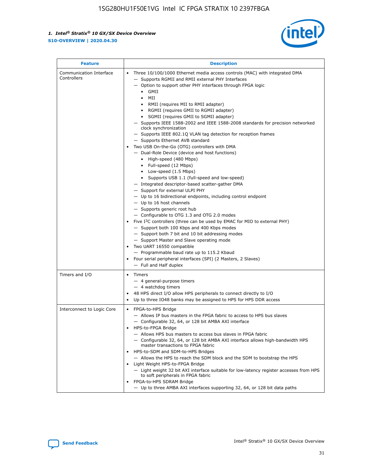

| <b>Feature</b>                         | <b>Description</b>                                                                                                                                                                                                                                                                                                                                                                                                                                                                                                                                                                                                                                                                                                                                                                                                                                                                                                                                                                                                                                                                                                                                                                                                                                                                                                                                                                                                                                                                                                  |
|----------------------------------------|---------------------------------------------------------------------------------------------------------------------------------------------------------------------------------------------------------------------------------------------------------------------------------------------------------------------------------------------------------------------------------------------------------------------------------------------------------------------------------------------------------------------------------------------------------------------------------------------------------------------------------------------------------------------------------------------------------------------------------------------------------------------------------------------------------------------------------------------------------------------------------------------------------------------------------------------------------------------------------------------------------------------------------------------------------------------------------------------------------------------------------------------------------------------------------------------------------------------------------------------------------------------------------------------------------------------------------------------------------------------------------------------------------------------------------------------------------------------------------------------------------------------|
| Communication Interface<br>Controllers | Three 10/100/1000 Ethernet media access controls (MAC) with integrated DMA<br>$\bullet$<br>- Supports RGMII and RMII external PHY Interfaces<br>- Option to support other PHY interfaces through FPGA logic<br>GMII<br>$\bullet$<br>MII<br>$\bullet$<br>• RMII (requires MII to RMII adapter)<br>• RGMII (requires GMII to RGMII adapter)<br>• SGMII (requires GMII to SGMII adapter)<br>- Supports IEEE 1588-2002 and IEEE 1588-2008 standards for precision networked<br>clock synchronization<br>- Supports IEEE 802.1Q VLAN tag detection for reception frames<br>- Supports Ethernet AVB standard<br>Two USB On-the-Go (OTG) controllers with DMA<br>- Dual-Role Device (device and host functions)<br>• High-speed (480 Mbps)<br>• Full-speed (12 Mbps)<br>• Low-speed (1.5 Mbps)<br>• Supports USB 1.1 (full-speed and low-speed)<br>- Integrated descriptor-based scatter-gather DMA<br>- Support for external ULPI PHY<br>- Up to 16 bidirectional endpoints, including control endpoint<br>$-$ Up to 16 host channels<br>- Supports generic root hub<br>- Configurable to OTG 1.3 and OTG 2.0 modes<br>Five $I^2C$ controllers (three can be used by EMAC for MIO to external PHY)<br>- Support both 100 Kbps and 400 Kbps modes<br>- Support both 7 bit and 10 bit addressing modes<br>- Support Master and Slave operating mode<br>Two UART 16550 compatible<br>- Programmable baud rate up to 115.2 Kbaud<br>• Four serial peripheral interfaces (SPI) (2 Masters, 2 Slaves)<br>- Full and Half duplex |
| Timers and I/O                         | $\bullet$ Timers<br>- 4 general-purpose timers<br>$-4$ watchdog timers<br>48 HPS direct I/O allow HPS peripherals to connect directly to I/O<br>Up to three IO48 banks may be assigned to HPS for HPS DDR access                                                                                                                                                                                                                                                                                                                                                                                                                                                                                                                                                                                                                                                                                                                                                                                                                                                                                                                                                                                                                                                                                                                                                                                                                                                                                                    |
| Interconnect to Logic Core             | • FPGA-to-HPS Bridge<br>- Allows IP bus masters in the FPGA fabric to access to HPS bus slaves<br>- Configurable 32, 64, or 128 bit AMBA AXI interface<br>HPS-to-FPGA Bridge<br>- Allows HPS bus masters to access bus slaves in FPGA fabric<br>- Configurable 32, 64, or 128 bit AMBA AXI interface allows high-bandwidth HPS<br>master transactions to FPGA fabric<br>HPS-to-SDM and SDM-to-HPS Bridges<br>- Allows the HPS to reach the SDM block and the SDM to bootstrap the HPS<br>Light Weight HPS-to-FPGA Bridge<br>- Light weight 32 bit AXI interface suitable for low-latency register accesses from HPS<br>to soft peripherals in FPGA fabric<br>FPGA-to-HPS SDRAM Bridge<br>- Up to three AMBA AXI interfaces supporting 32, 64, or 128 bit data paths                                                                                                                                                                                                                                                                                                                                                                                                                                                                                                                                                                                                                                                                                                                                                 |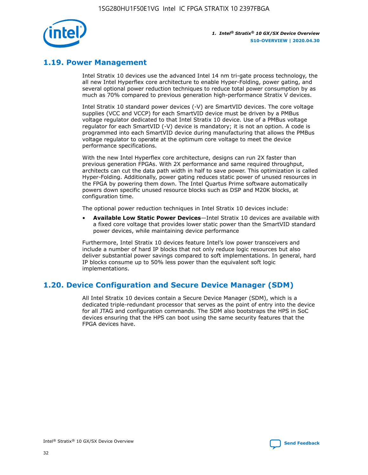

# **1.19. Power Management**

Intel Stratix 10 devices use the advanced Intel 14 nm tri-gate process technology, the all new Intel Hyperflex core architecture to enable Hyper-Folding, power gating, and several optional power reduction techniques to reduce total power consumption by as much as 70% compared to previous generation high-performance Stratix V devices.

Intel Stratix 10 standard power devices (-V) are SmartVID devices. The core voltage supplies (VCC and VCCP) for each SmartVID device must be driven by a PMBus voltage regulator dedicated to that Intel Stratix 10 device. Use of a PMBus voltage regulator for each SmartVID (-V) device is mandatory; it is not an option. A code is programmed into each SmartVID device during manufacturing that allows the PMBus voltage regulator to operate at the optimum core voltage to meet the device performance specifications.

With the new Intel Hyperflex core architecture, designs can run 2X faster than previous generation FPGAs. With 2X performance and same required throughput, architects can cut the data path width in half to save power. This optimization is called Hyper-Folding. Additionally, power gating reduces static power of unused resources in the FPGA by powering them down. The Intel Quartus Prime software automatically powers down specific unused resource blocks such as DSP and M20K blocks, at configuration time.

The optional power reduction techniques in Intel Stratix 10 devices include:

• **Available Low Static Power Devices**—Intel Stratix 10 devices are available with a fixed core voltage that provides lower static power than the SmartVID standard power devices, while maintaining device performance

Furthermore, Intel Stratix 10 devices feature Intel's low power transceivers and include a number of hard IP blocks that not only reduce logic resources but also deliver substantial power savings compared to soft implementations. In general, hard IP blocks consume up to 50% less power than the equivalent soft logic implementations.

# **1.20. Device Configuration and Secure Device Manager (SDM)**

All Intel Stratix 10 devices contain a Secure Device Manager (SDM), which is a dedicated triple-redundant processor that serves as the point of entry into the device for all JTAG and configuration commands. The SDM also bootstraps the HPS in SoC devices ensuring that the HPS can boot using the same security features that the FPGA devices have.

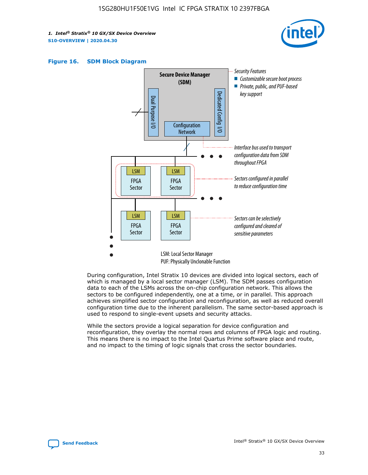





During configuration, Intel Stratix 10 devices are divided into logical sectors, each of which is managed by a local sector manager (LSM). The SDM passes configuration data to each of the LSMs across the on-chip configuration network. This allows the sectors to be configured independently, one at a time, or in parallel. This approach achieves simplified sector configuration and reconfiguration, as well as reduced overall configuration time due to the inherent parallelism. The same sector-based approach is used to respond to single-event upsets and security attacks.

While the sectors provide a logical separation for device configuration and reconfiguration, they overlay the normal rows and columns of FPGA logic and routing. This means there is no impact to the Intel Quartus Prime software place and route, and no impact to the timing of logic signals that cross the sector boundaries.

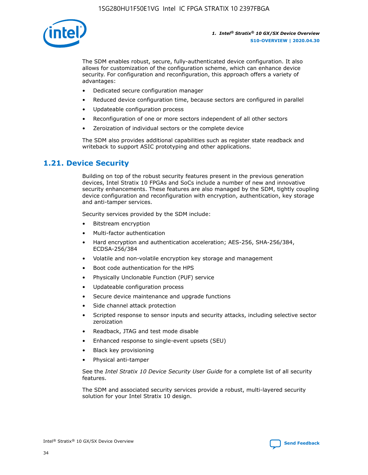

The SDM enables robust, secure, fully-authenticated device configuration. It also allows for customization of the configuration scheme, which can enhance device security. For configuration and reconfiguration, this approach offers a variety of advantages:

- Dedicated secure configuration manager
- Reduced device configuration time, because sectors are configured in parallel
- Updateable configuration process
- Reconfiguration of one or more sectors independent of all other sectors
- Zeroization of individual sectors or the complete device

The SDM also provides additional capabilities such as register state readback and writeback to support ASIC prototyping and other applications.

### **1.21. Device Security**

Building on top of the robust security features present in the previous generation devices, Intel Stratix 10 FPGAs and SoCs include a number of new and innovative security enhancements. These features are also managed by the SDM, tightly coupling device configuration and reconfiguration with encryption, authentication, key storage and anti-tamper services.

Security services provided by the SDM include:

- Bitstream encryption
- Multi-factor authentication
- Hard encryption and authentication acceleration; AES-256, SHA-256/384, ECDSA-256/384
- Volatile and non-volatile encryption key storage and management
- Boot code authentication for the HPS
- Physically Unclonable Function (PUF) service
- Updateable configuration process
- Secure device maintenance and upgrade functions
- Side channel attack protection
- Scripted response to sensor inputs and security attacks, including selective sector zeroization
- Readback, JTAG and test mode disable
- Enhanced response to single-event upsets (SEU)
- Black key provisioning
- Physical anti-tamper

See the *Intel Stratix 10 Device Security User Guide* for a complete list of all security features.

The SDM and associated security services provide a robust, multi-layered security solution for your Intel Stratix 10 design.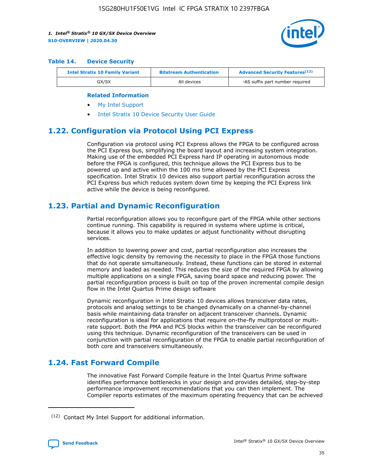

#### **Table 14. Device Security**

| <b>Intel Stratix 10 Family Variant</b> | <b>Bitstream Authentication</b> | <b>Advanced Security Features</b> <sup>(12)</sup> |
|----------------------------------------|---------------------------------|---------------------------------------------------|
| GX/SX                                  | All devices                     | -AS suffix part number required                   |

#### **Related Information**

- [My Intel Support](https://www.intel.com/content/www/us/en/programmable/my-intel/mal-home.html)
- [Intel Stratix 10 Device Security User Guide](https://www.intel.com/content/www/us/en/programmable/documentation/ndq1483601370898.html#wcd1483611014402)

# **1.22. Configuration via Protocol Using PCI Express**

Configuration via protocol using PCI Express allows the FPGA to be configured across the PCI Express bus, simplifying the board layout and increasing system integration. Making use of the embedded PCI Express hard IP operating in autonomous mode before the FPGA is configured, this technique allows the PCI Express bus to be powered up and active within the 100 ms time allowed by the PCI Express specification. Intel Stratix 10 devices also support partial reconfiguration across the PCI Express bus which reduces system down time by keeping the PCI Express link active while the device is being reconfigured.

# **1.23. Partial and Dynamic Reconfiguration**

Partial reconfiguration allows you to reconfigure part of the FPGA while other sections continue running. This capability is required in systems where uptime is critical, because it allows you to make updates or adjust functionality without disrupting services.

In addition to lowering power and cost, partial reconfiguration also increases the effective logic density by removing the necessity to place in the FPGA those functions that do not operate simultaneously. Instead, these functions can be stored in external memory and loaded as needed. This reduces the size of the required FPGA by allowing multiple applications on a single FPGA, saving board space and reducing power. The partial reconfiguration process is built on top of the proven incremental compile design flow in the Intel Quartus Prime design software

Dynamic reconfiguration in Intel Stratix 10 devices allows transceiver data rates, protocols and analog settings to be changed dynamically on a channel-by-channel basis while maintaining data transfer on adjacent transceiver channels. Dynamic reconfiguration is ideal for applications that require on-the-fly multiprotocol or multirate support. Both the PMA and PCS blocks within the transceiver can be reconfigured using this technique. Dynamic reconfiguration of the transceivers can be used in conjunction with partial reconfiguration of the FPGA to enable partial reconfiguration of both core and transceivers simultaneously.

# **1.24. Fast Forward Compile**

The innovative Fast Forward Compile feature in the Intel Quartus Prime software identifies performance bottlenecks in your design and provides detailed, step-by-step performance improvement recommendations that you can then implement. The Compiler reports estimates of the maximum operating frequency that can be achieved

<sup>(12)</sup> Contact My Intel Support for additional information.

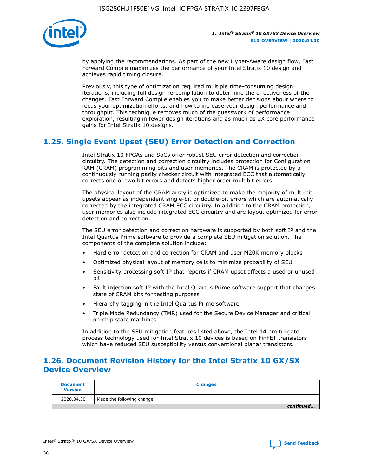

by applying the recommendations. As part of the new Hyper-Aware design flow, Fast Forward Compile maximizes the performance of your Intel Stratix 10 design and achieves rapid timing closure.

Previously, this type of optimization required multiple time-consuming design iterations, including full design re-compilation to determine the effectiveness of the changes. Fast Forward Compile enables you to make better decisions about where to focus your optimization efforts, and how to increase your design performance and throughput. This technique removes much of the guesswork of performance exploration, resulting in fewer design iterations and as much as 2X core performance gains for Intel Stratix 10 designs.

# **1.25. Single Event Upset (SEU) Error Detection and Correction**

Intel Stratix 10 FPGAs and SoCs offer robust SEU error detection and correction circuitry. The detection and correction circuitry includes protection for Configuration RAM (CRAM) programming bits and user memories. The CRAM is protected by a continuously running parity checker circuit with integrated ECC that automatically corrects one or two bit errors and detects higher order multibit errors.

The physical layout of the CRAM array is optimized to make the majority of multi-bit upsets appear as independent single-bit or double-bit errors which are automatically corrected by the integrated CRAM ECC circuitry. In addition to the CRAM protection, user memories also include integrated ECC circuitry and are layout optimized for error detection and correction.

The SEU error detection and correction hardware is supported by both soft IP and the Intel Quartus Prime software to provide a complete SEU mitigation solution. The components of the complete solution include:

- Hard error detection and correction for CRAM and user M20K memory blocks
- Optimized physical layout of memory cells to minimize probability of SEU
- Sensitivity processing soft IP that reports if CRAM upset affects a used or unused bit
- Fault injection soft IP with the Intel Quartus Prime software support that changes state of CRAM bits for testing purposes
- Hierarchy tagging in the Intel Quartus Prime software
- Triple Mode Redundancy (TMR) used for the Secure Device Manager and critical on-chip state machines

In addition to the SEU mitigation features listed above, the Intel 14 nm tri-gate process technology used for Intel Stratix 10 devices is based on FinFET transistors which have reduced SEU susceptibility versus conventional planar transistors.

# **1.26. Document Revision History for the Intel Stratix 10 GX/SX Device Overview**

| <b>Document</b><br><b>Version</b> | <b>Changes</b>             |
|-----------------------------------|----------------------------|
| 2020.04.30                        | Made the following change: |
|                                   | continued                  |

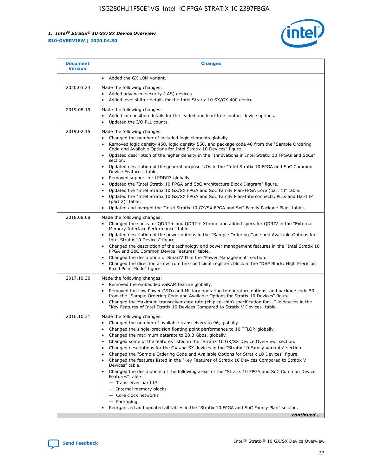

| <b>Document</b><br><b>Version</b> | <b>Changes</b>                                                                                                                                                                                                                                                                                                                                                                                                                                                                                                                                                                                                                                                                                                                                                                                                                                                                                                                                                                                      |
|-----------------------------------|-----------------------------------------------------------------------------------------------------------------------------------------------------------------------------------------------------------------------------------------------------------------------------------------------------------------------------------------------------------------------------------------------------------------------------------------------------------------------------------------------------------------------------------------------------------------------------------------------------------------------------------------------------------------------------------------------------------------------------------------------------------------------------------------------------------------------------------------------------------------------------------------------------------------------------------------------------------------------------------------------------|
|                                   | Added the GX 10M variant.                                                                                                                                                                                                                                                                                                                                                                                                                                                                                                                                                                                                                                                                                                                                                                                                                                                                                                                                                                           |
| 2020.03.24                        | Made the following changes:<br>Added advanced security (-AS) devices.<br>Added level shifter details for the Intel Stratix 10 SX/GX 400 device.                                                                                                                                                                                                                                                                                                                                                                                                                                                                                                                                                                                                                                                                                                                                                                                                                                                     |
| 2019.08.19                        | Made the following changes:<br>Added composition details for the leaded and lead-free contact device options.<br>$\bullet$<br>Updated the I/O PLL counts.                                                                                                                                                                                                                                                                                                                                                                                                                                                                                                                                                                                                                                                                                                                                                                                                                                           |
| 2019.02.15                        | Made the following changes:<br>Changed the number of included logic elements globally.<br>$\bullet$<br>Removed logic density 450, logic density 550, and package code 48 from the "Sample Ordering<br>$\bullet$<br>Code and Available Options for Intel Stratix 10 Devices" figure.<br>Updated description of the higher density in the "Innovations in Intel Stratix 10 FPGAs and SoCs"<br>section.<br>Updated description of the general purpose I/Os in the "Intel Stratix 10 FPGA and SoC Common<br>$\bullet$<br>Device Features" table.<br>Removed support for LPDDR3 globally.<br>Updated the "Intel Stratix 10 FPGA and SoC Architecture Block Diagram" figure.<br>$\bullet$<br>Updated the "Intel Stratix 10 GX/SX FPGA and SoC Family Plan-FPGA Core (part 1)" table.<br>٠<br>Updated the "Intel Stratix 10 GX/SX FPGA and SoC Family Plan-Interconnects, PLLs and Hard IP<br>(part 2)" table.<br>Updated and merged the "Intel Stratix 10 GX/SX FPGA and SoC Family Package Plan" tables. |
| 2018.08.08                        | Made the following changes:<br>Changed the specs for QDRII+ and QDRII+ Xtreme and added specs for QDRIV in the "External<br>$\bullet$<br>Memory Interface Performance" table.<br>Updated description of the power options in the "Sample Ordering Code and Available Options for<br>Intel Stratix 10 Devices" figure.<br>Changed the description of the technology and power management features in the "Intel Stratix 10<br>FPGA and SoC Common Device Features" table.<br>Changed the description of SmartVID in the "Power Management" section.<br>Changed the direction arrow from the coefficient registers block in the "DSP Block: High Precision<br>٠<br>Fixed Point Mode" figure.                                                                                                                                                                                                                                                                                                          |
| 2017.10.30                        | Made the following changes:<br>Removed the embedded eSRAM feature globally.<br>$\bullet$<br>Removed the Low Power (VID) and Military operating temperature options, and package code 53<br>٠<br>from the "Sample Ordering Code and Available Options for Stratix 10 Devices" figure.<br>Changed the Maximum transceiver data rate (chip-to-chip) specification for L-Tile devices in the<br>"Key Features of Intel Stratix 10 Devices Compared to Stratix V Devices" table.                                                                                                                                                                                                                                                                                                                                                                                                                                                                                                                         |
| 2016.10.31                        | Made the following changes:<br>• Changed the number of available transceivers to 96, globally.<br>Changed the single-precision floating point performance to 10 TFLOP, globally.<br>Changed the maximum datarate to 28.3 Gbps, globally.<br>٠<br>Changed some of the features listed in the "Stratix 10 GX/SX Device Overview" section.<br>٠<br>Changed descriptions for the GX and SX devices in the "Stratix 10 Family Variants" section.<br>٠<br>Changed the "Sample Ordering Code and Available Options for Stratix 10 Devices" figure.<br>Changed the features listed in the "Key Features of Stratix 10 Devices Compared to Stratix V<br>Devices" table.<br>Changed the descriptions of the following areas of the "Stratix 10 FPGA and SoC Common Device<br>Features" table:<br>- Transceiver hard IP<br>- Internal memory blocks<br>- Core clock networks<br>- Packaging<br>Reorganized and updated all tables in the "Stratix 10 FPGA and SoC Family Plan" section.                        |
|                                   | continued                                                                                                                                                                                                                                                                                                                                                                                                                                                                                                                                                                                                                                                                                                                                                                                                                                                                                                                                                                                           |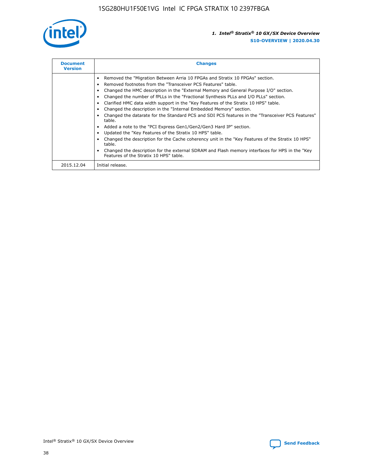

| <b>Document</b><br><b>Version</b> | <b>Changes</b>                                                                                                                                                                                                                                                                                                                                                                                                                                                                                                                                                                                                                                                                                                                                                                                                                                                                                                                                                                                     |
|-----------------------------------|----------------------------------------------------------------------------------------------------------------------------------------------------------------------------------------------------------------------------------------------------------------------------------------------------------------------------------------------------------------------------------------------------------------------------------------------------------------------------------------------------------------------------------------------------------------------------------------------------------------------------------------------------------------------------------------------------------------------------------------------------------------------------------------------------------------------------------------------------------------------------------------------------------------------------------------------------------------------------------------------------|
|                                   | Removed the "Migration Between Arria 10 FPGAs and Stratix 10 FPGAs" section.<br>Removed footnotes from the "Transceiver PCS Features" table.<br>Changed the HMC description in the "External Memory and General Purpose I/O" section.<br>Changed the number of fPLLs in the "Fractional Synthesis PLLs and I/O PLLs" section.<br>Clarified HMC data width support in the "Key Features of the Stratix 10 HPS" table.<br>Changed the description in the "Internal Embedded Memory" section.<br>Changed the datarate for the Standard PCS and SDI PCS features in the "Transceiver PCS Features"<br>table.<br>Added a note to the "PCI Express Gen1/Gen2/Gen3 Hard IP" section.<br>Updated the "Key Features of the Stratix 10 HPS" table.<br>Changed the description for the Cache coherency unit in the "Key Features of the Stratix 10 HPS"<br>table.<br>Changed the description for the external SDRAM and Flash memory interfaces for HPS in the "Key<br>Features of the Stratix 10 HPS" table. |
| 2015.12.04                        | Initial release.                                                                                                                                                                                                                                                                                                                                                                                                                                                                                                                                                                                                                                                                                                                                                                                                                                                                                                                                                                                   |